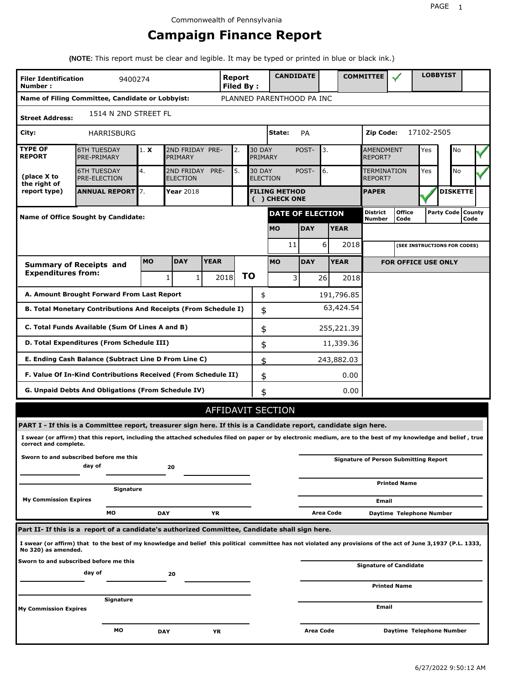# **Campaign Finance Report**

**(NOTE:** This report must be clear and legible. It may be typed or printed in blue or black ink.)

| <b>Filer Identification</b><br>Number: | 9400274                                                                                                                                                         |           |                               |              | <b>Report</b><br><b>Filed By:</b> |                                  | <b>CANDIDATE</b>                      |            |           |             | <b>COMMITTEE</b>                   |                                              |            | <b>LOBBYIST</b>     |      |  |
|----------------------------------------|-----------------------------------------------------------------------------------------------------------------------------------------------------------------|-----------|-------------------------------|--------------|-----------------------------------|----------------------------------|---------------------------------------|------------|-----------|-------------|------------------------------------|----------------------------------------------|------------|---------------------|------|--|
|                                        | Name of Filing Committee, Candidate or Lobbyist:                                                                                                                |           |                               |              |                                   |                                  | PLANNED PARENTHOOD PA INC             |            |           |             |                                    |                                              |            |                     |      |  |
| <b>Street Address:</b>                 | 1514 N 2ND STREET FL                                                                                                                                            |           |                               |              |                                   |                                  |                                       |            |           |             |                                    |                                              |            |                     |      |  |
| City:                                  | HARRISBURG                                                                                                                                                      |           |                               |              |                                   |                                  | State:                                | PA         |           |             | Zip Code:                          |                                              | 17102-2505 |                     |      |  |
| <b>TYPE OF</b><br><b>REPORT</b>        | <b>6TH TUESDAY</b><br>PRE-PRIMARY                                                                                                                               | 1. X      | 2ND FRIDAY PRE-<br>PRIMARY    |              | 2.                                | <b>30 DAY</b><br>PRIMARY         |                                       | POST-      | 3.        |             | <b>AMENDMENT</b><br><b>REPORT?</b> |                                              | Yes        | No                  |      |  |
| (place X to<br>the right of            | <b>6TH TUESDAY</b><br><b>PRE-ELECTION</b>                                                                                                                       | 4.        | 2ND FRIDAY<br><b>ELECTION</b> | PRE-         | 5.                                | <b>30 DAY</b><br><b>ELECTION</b> |                                       | POST-      | 6.        |             | <b>TERMINATION</b><br>REPORT?      |                                              | Yes        | No                  |      |  |
| report type)                           | <b>ANNUAL REPORT</b> 7.                                                                                                                                         |           | Year 2018                     |              |                                   |                                  | <b>FILING METHOD</b><br>( ) CHECK ONE |            |           |             | <b>PAPER</b>                       |                                              |            | <b>DISKETTE</b>     |      |  |
|                                        | Name of Office Sought by Candidate:                                                                                                                             |           |                               |              |                                   |                                  | <b>DATE OF ELECTION</b>               |            |           |             | <b>District</b><br>Number          | <b>Office</b><br>Code                        |            | Party Code   County | Code |  |
|                                        |                                                                                                                                                                 |           |                               |              |                                   |                                  | <b>MO</b>                             | <b>DAY</b> |           | <b>YEAR</b> |                                    |                                              |            |                     |      |  |
|                                        |                                                                                                                                                                 |           |                               |              |                                   |                                  | 11                                    |            | 6         | 2018        |                                    | (SEE INSTRUCTIONS FOR CODES)                 |            |                     |      |  |
|                                        | <b>Summary of Receipts and</b>                                                                                                                                  | <b>MO</b> | <b>DAY</b>                    | <b>YEAR</b>  |                                   |                                  | <b>MO</b>                             | <b>DAY</b> |           | <b>YEAR</b> |                                    | <b>FOR OFFICE USE ONLY</b>                   |            |                     |      |  |
| <b>Expenditures from:</b>              |                                                                                                                                                                 |           | 1                             | $\mathbf{1}$ | 2018                              | ΤO                               | 3                                     |            | 26        | 2018        |                                    |                                              |            |                     |      |  |
|                                        | A. Amount Brought Forward From Last Report                                                                                                                      |           |                               |              |                                   | \$                               |                                       |            |           | 191,796.85  |                                    |                                              |            |                     |      |  |
|                                        | B. Total Monetary Contributions And Receipts (From Schedule I)                                                                                                  |           |                               |              |                                   | \$                               |                                       |            |           | 63,424.54   |                                    |                                              |            |                     |      |  |
|                                        | C. Total Funds Available (Sum Of Lines A and B)                                                                                                                 |           |                               |              |                                   | \$                               |                                       |            |           | 255,221.39  |                                    |                                              |            |                     |      |  |
|                                        | D. Total Expenditures (From Schedule III)                                                                                                                       |           |                               |              |                                   | \$                               |                                       |            |           | 11,339.36   |                                    |                                              |            |                     |      |  |
|                                        | E. Ending Cash Balance (Subtract Line D From Line C)                                                                                                            |           |                               |              |                                   | \$                               |                                       |            |           | 243,882.03  |                                    |                                              |            |                     |      |  |
|                                        | F. Value Of In-Kind Contributions Received (From Schedule II)                                                                                                   |           |                               |              |                                   | \$                               |                                       |            |           | 0.00        |                                    |                                              |            |                     |      |  |
|                                        | G. Unpaid Debts And Obligations (From Schedule IV)                                                                                                              |           |                               |              |                                   | \$                               |                                       |            |           | 0.00        |                                    |                                              |            |                     |      |  |
|                                        |                                                                                                                                                                 |           |                               |              |                                   |                                  | AFFIDAVIT SECTION                     |            |           |             |                                    |                                              |            |                     |      |  |
|                                        | PART I - If this is a Committee report, treasurer sign here. If this is a Candidate report, candidate sign here.                                                |           |                               |              |                                   |                                  |                                       |            |           |             |                                    |                                              |            |                     |      |  |
| correct and complete.                  | I swear (or affirm) that this report, including the attached schedules filed on paper or by electronic medium, are to the best of my knowledge and belief, true |           |                               |              |                                   |                                  |                                       |            |           |             |                                    |                                              |            |                     |      |  |
|                                        | Sworn to and subscribed before me this<br>day of                                                                                                                |           | 20                            |              |                                   |                                  |                                       |            |           |             |                                    | <b>Signature of Person Submitting Report</b> |            |                     |      |  |
|                                        | Signature                                                                                                                                                       |           |                               |              |                                   |                                  |                                       |            |           |             |                                    | <b>Printed Name</b>                          |            |                     |      |  |
| <b>My Commission Expires</b>           |                                                                                                                                                                 |           |                               |              |                                   |                                  |                                       |            |           |             | Email                              |                                              |            |                     |      |  |
|                                        | МO                                                                                                                                                              |           | <b>DAY</b>                    | YR           |                                   |                                  |                                       |            | Area Code |             |                                    | Daytime Telephone Number                     |            |                     |      |  |
|                                        | Part II- If this is a report of a candidate's authorized Committee, Candidate shall sign here.                                                                  |           |                               |              |                                   |                                  |                                       |            |           |             |                                    |                                              |            |                     |      |  |
| No 320) as amended.                    | I swear (or affirm) that to the best of my knowledge and belief this political committee has not violated any provisions of the act of June 3,1937 (P.L. 1333,  |           |                               |              |                                   |                                  |                                       |            |           |             |                                    |                                              |            |                     |      |  |
|                                        | Sworn to and subscribed before me this<br>day of                                                                                                                |           |                               |              |                                   |                                  |                                       |            |           |             |                                    | <b>Signature of Candidate</b>                |            |                     |      |  |
|                                        |                                                                                                                                                                 |           | 20                            |              |                                   |                                  |                                       |            |           |             |                                    | <b>Printed Name</b>                          |            |                     |      |  |
|                                        | Signature                                                                                                                                                       |           |                               |              |                                   |                                  |                                       |            |           |             |                                    |                                              |            |                     |      |  |
| My Commission Expires                  |                                                                                                                                                                 |           |                               |              |                                   |                                  |                                       |            |           |             | Email                              |                                              |            |                     |      |  |
|                                        | МO                                                                                                                                                              |           | <b>DAY</b>                    | ΥR           |                                   |                                  |                                       | Area Code  |           |             |                                    | Daytime Telephone Number                     |            |                     |      |  |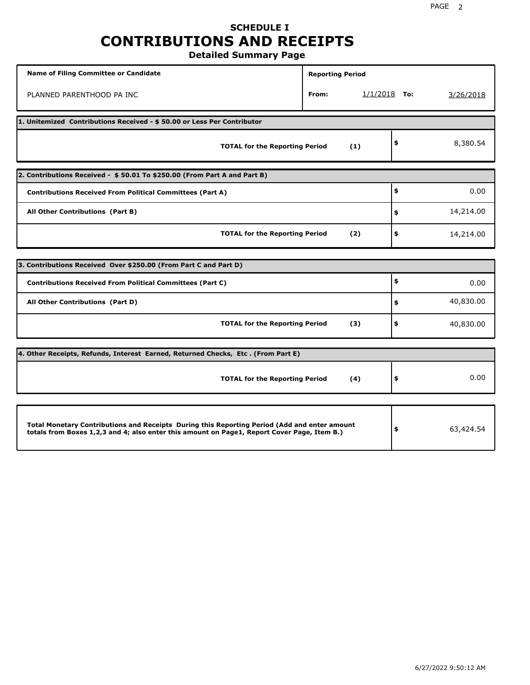# **SCHEDULE I CONTRIBUTIONS AND RECEIPTS**

**Detailed Summary Page**

| Name of Filing Committee or Candidate                                                                                                                                                       | <b>Reporting Period</b> |                |                 |
|---------------------------------------------------------------------------------------------------------------------------------------------------------------------------------------------|-------------------------|----------------|-----------------|
| PLANNED PARENTHOOD PA INC                                                                                                                                                                   | From:                   | $1/1/2018$ To: | 3/26/2018       |
| 1. Unitemized Contributions Received - \$50.00 or Less Per Contributor                                                                                                                      |                         |                |                 |
| <b>TOTAL for the Reporting Period</b>                                                                                                                                                       |                         | (1)            | \$<br>8,380.54  |
| 2. Contributions Received - \$50.01 To \$250.00 (From Part A and Part B)                                                                                                                    |                         |                |                 |
| <b>Contributions Received From Political Committees (Part A)</b>                                                                                                                            |                         |                | \$<br>0.00      |
| All Other Contributions (Part B)                                                                                                                                                            |                         |                | \$<br>14,214.00 |
| <b>TOTAL for the Reporting Period</b>                                                                                                                                                       |                         | (2)            | \$<br>14,214.00 |
| 3. Contributions Received Over \$250.00 (From Part C and Part D)                                                                                                                            |                         |                |                 |
| <b>Contributions Received From Political Committees (Part C)</b>                                                                                                                            |                         |                | \$<br>0.00      |
| All Other Contributions (Part D)                                                                                                                                                            |                         |                | \$<br>40,830.00 |
| <b>TOTAL for the Reporting Period</b>                                                                                                                                                       |                         | (3)            | \$<br>40,830.00 |
| 4. Other Receipts, Refunds, Interest Earned, Returned Checks, Etc. (From Part E)                                                                                                            |                         |                |                 |
| <b>TOTAL for the Reporting Period</b>                                                                                                                                                       |                         | (4)            | \$<br>0.00      |
|                                                                                                                                                                                             |                         |                |                 |
| Total Monetary Contributions and Receipts During this Reporting Period (Add and enter amount<br>totals from Boxes 1,2,3 and 4; also enter this amount on Page1, Report Cover Page, Item B.) |                         |                | \$<br>63,424.54 |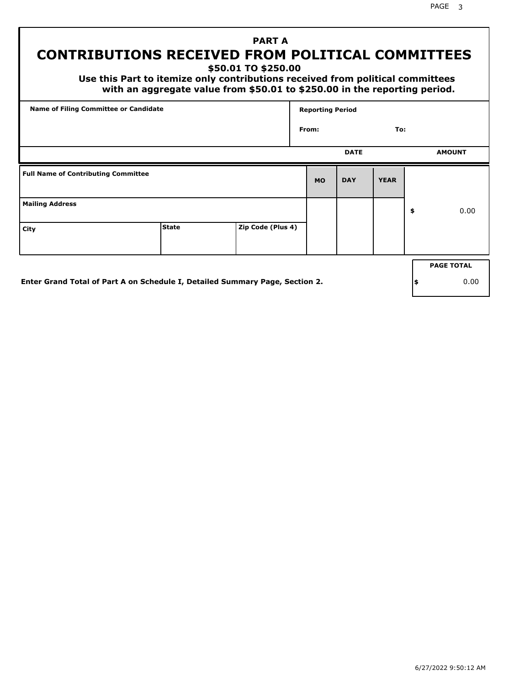PAGE 3

# **PART A CONTRIBUTIONS RECEIVED FROM POLITICAL COMMITTEES**

**\$50.01 TO \$250.00**

 **Use this Part to itemize only contributions received from political committees with an aggregate value from \$50.01 to \$250.00 in the reporting period.**

| Name of Filing Committee or Candidate      |              |                   | <b>Reporting Period</b> |             |             |                   |
|--------------------------------------------|--------------|-------------------|-------------------------|-------------|-------------|-------------------|
|                                            |              |                   | From:                   |             | To:         |                   |
|                                            |              |                   |                         | <b>DATE</b> |             | <b>AMOUNT</b>     |
| <b>Full Name of Contributing Committee</b> |              |                   | <b>MO</b>               | <b>DAY</b>  | <b>YEAR</b> |                   |
| <b>Mailing Address</b>                     |              |                   |                         |             |             | \$<br>0.00        |
| City                                       | <b>State</b> | Zip Code (Plus 4) |                         |             |             |                   |
|                                            |              |                   |                         |             |             | <b>PAGE TOTAL</b> |

**Enter Grand Total of Part A on Schedule I, Detailed Summary Page, Section 2.**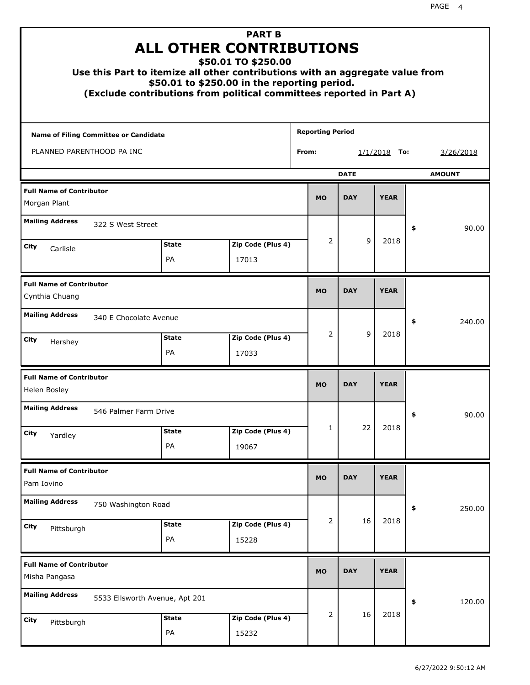|                                                   |                                | <b>PART B</b><br><b>ALL OTHER CONTRIBUTIONS</b><br>\$50.01 TO \$250.00<br>Use this Part to itemize all other contributions with an aggregate value from<br>\$50.01 to \$250.00 in the reporting period.<br>(Exclude contributions from political committees reported in Part A) |                         |             |                |               |
|---------------------------------------------------|--------------------------------|---------------------------------------------------------------------------------------------------------------------------------------------------------------------------------------------------------------------------------------------------------------------------------|-------------------------|-------------|----------------|---------------|
| <b>Name of Filing Committee or Candidate</b>      |                                |                                                                                                                                                                                                                                                                                 | <b>Reporting Period</b> |             |                |               |
| PLANNED PARENTHOOD PA INC                         |                                |                                                                                                                                                                                                                                                                                 | From:                   |             | $1/1/2018$ To: | 3/26/2018     |
|                                                   |                                |                                                                                                                                                                                                                                                                                 |                         | <b>DATE</b> |                | <b>AMOUNT</b> |
| <b>Full Name of Contributor</b><br>Morgan Plant   |                                |                                                                                                                                                                                                                                                                                 | <b>MO</b>               | <b>DAY</b>  | <b>YEAR</b>    |               |
| <b>Mailing Address</b><br>322 S West Street       |                                |                                                                                                                                                                                                                                                                                 |                         |             |                | \$<br>90.00   |
| <b>City</b>                                       | <b>State</b>                   | Zip Code (Plus 4)                                                                                                                                                                                                                                                               | 2                       | 9           | 2018           |               |
| Carlisle                                          | PA                             | 17013                                                                                                                                                                                                                                                                           |                         |             |                |               |
| <b>Full Name of Contributor</b><br>Cynthia Chuang |                                |                                                                                                                                                                                                                                                                                 | <b>MO</b>               | <b>DAY</b>  | <b>YEAR</b>    |               |
| <b>Mailing Address</b><br>340 E Chocolate Avenue  |                                |                                                                                                                                                                                                                                                                                 |                         |             |                | \$<br>240.00  |
| City<br>Hershey                                   | <b>State</b><br>PA             | Zip Code (Plus 4)<br>17033                                                                                                                                                                                                                                                      | 2                       | 9           | 2018           |               |
| <b>Full Name of Contributor</b><br>Helen Bosley   |                                |                                                                                                                                                                                                                                                                                 | <b>MO</b>               | <b>DAY</b>  | <b>YEAR</b>    |               |
| <b>Mailing Address</b><br>546 Palmer Farm Drive   |                                |                                                                                                                                                                                                                                                                                 |                         |             |                | 90.00<br>÷,   |
| <b>City</b><br>Yardley                            | <b>State</b>                   | Zip Code (Plus 4)                                                                                                                                                                                                                                                               | 1                       | 22          | 2018           |               |
|                                                   | PA                             | 19067                                                                                                                                                                                                                                                                           |                         |             |                |               |
| <b>Full Name of Contributor</b><br>Pam Iovino     |                                |                                                                                                                                                                                                                                                                                 | <b>MO</b>               | <b>DAY</b>  | <b>YEAR</b>    |               |
| <b>Mailing Address</b><br>750 Washington Road     |                                |                                                                                                                                                                                                                                                                                 |                         |             |                | \$<br>250.00  |
| <b>City</b><br>Pittsburgh                         | <b>State</b><br>PA             | Zip Code (Plus 4)<br>15228                                                                                                                                                                                                                                                      | 2                       | 16          | 2018           |               |
| <b>Full Name of Contributor</b><br>Misha Pangasa  |                                |                                                                                                                                                                                                                                                                                 | <b>MO</b>               | <b>DAY</b>  | <b>YEAR</b>    |               |
| <b>Mailing Address</b>                            | 5533 Ellsworth Avenue, Apt 201 |                                                                                                                                                                                                                                                                                 |                         |             |                | \$<br>120.00  |
| City<br>Pittsburgh                                | <b>State</b><br>PA             | Zip Code (Plus 4)<br>15232                                                                                                                                                                                                                                                      | 2                       | 16          | 2018           |               |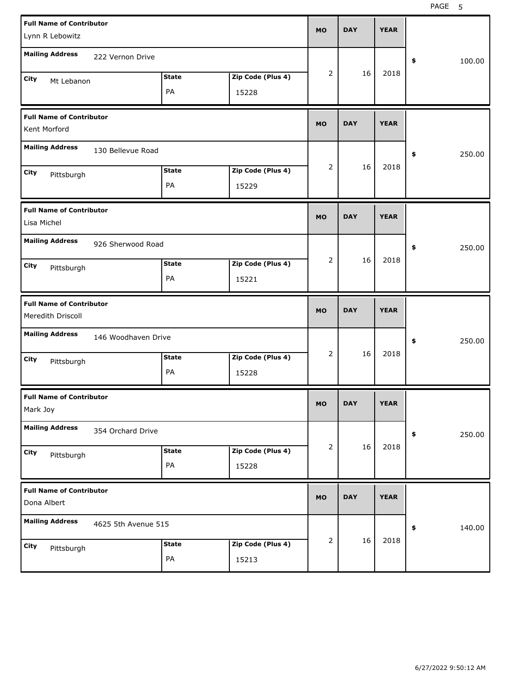| <b>Full Name of Contributor</b><br>Lynn R Lebowitz   |                     |                    |                            | <b>MO</b>      | <b>DAY</b> | <b>YEAR</b> |              |
|------------------------------------------------------|---------------------|--------------------|----------------------------|----------------|------------|-------------|--------------|
| <b>Mailing Address</b>                               | 222 Vernon Drive    |                    |                            |                |            |             | 100.00<br>\$ |
| City<br>Mt Lebanon                                   |                     | <b>State</b><br>PA | Zip Code (Plus 4)<br>15228 | 2              | 16         | 2018        |              |
| <b>Full Name of Contributor</b><br>Kent Morford      |                     |                    |                            | <b>MO</b>      | <b>DAY</b> | <b>YEAR</b> |              |
| <b>Mailing Address</b>                               | 130 Bellevue Road   |                    |                            |                |            |             | 250.00<br>\$ |
| City<br>Pittsburgh                                   |                     | <b>State</b><br>PA | Zip Code (Plus 4)<br>15229 | 2              | 16         | 2018        |              |
| <b>Full Name of Contributor</b><br>Lisa Michel       |                     |                    |                            | <b>MO</b>      | <b>DAY</b> | <b>YEAR</b> |              |
| <b>Mailing Address</b>                               | 926 Sherwood Road   |                    |                            |                |            |             | 250.00<br>\$ |
| City<br>Pittsburgh                                   |                     | <b>State</b><br>PA | Zip Code (Plus 4)<br>15221 | $\overline{2}$ | 16         | 2018        |              |
|                                                      |                     |                    |                            |                |            |             |              |
| <b>Full Name of Contributor</b><br>Meredith Driscoll |                     |                    |                            | <b>MO</b>      | <b>DAY</b> | <b>YEAR</b> |              |
| <b>Mailing Address</b>                               | 146 Woodhaven Drive |                    |                            |                |            |             | 250.00<br>\$ |
| City<br>Pittsburgh                                   |                     | <b>State</b><br>PA | Zip Code (Plus 4)<br>15228 | 2              | 16         | 2018        |              |
| <b>Full Name of Contributor</b><br>Mark Joy          |                     |                    |                            | <b>MO</b>      | <b>DAY</b> | <b>YEAR</b> |              |
| <b>Mailing Address</b>                               | 354 Orchard Drive   |                    |                            |                |            |             | \$<br>250.00 |
| City<br>Pittsburgh                                   |                     | <b>State</b><br>PA | Zip Code (Plus 4)<br>15228 | 2              | 16         | 2018        |              |
| <b>Full Name of Contributor</b><br>Dona Albert       |                     |                    |                            | <b>MO</b>      | <b>DAY</b> | <b>YEAR</b> |              |
| <b>Mailing Address</b>                               | 4625 5th Avenue 515 |                    |                            | 2              | 16         | 2018        | 140.00<br>\$ |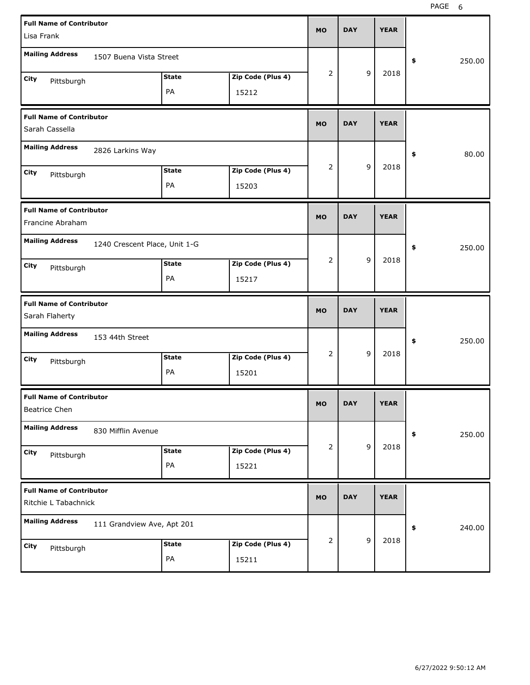| <b>Full Name of Contributor</b><br>Lisa Frank           |                               |              |                   | <b>MO</b>      | <b>DAY</b> |                | <b>YEAR</b> |              |
|---------------------------------------------------------|-------------------------------|--------------|-------------------|----------------|------------|----------------|-------------|--------------|
| <b>Mailing Address</b>                                  | 1507 Buena Vista Street       |              |                   |                |            |                |             |              |
|                                                         |                               |              |                   | $\overline{2}$ |            | 9              | 2018        | \$<br>250.00 |
| City<br>Pittsburgh                                      |                               | <b>State</b> | Zip Code (Plus 4) |                |            |                |             |              |
|                                                         |                               | PA           | 15212             |                |            |                |             |              |
| <b>Full Name of Contributor</b><br>Sarah Cassella       |                               |              |                   | <b>MO</b>      | <b>DAY</b> |                | <b>YEAR</b> |              |
| <b>Mailing Address</b>                                  | 2826 Larkins Way              |              |                   |                |            |                |             | \$<br>80.00  |
| City<br>Pittsburgh                                      |                               | <b>State</b> | Zip Code (Plus 4) | 2              |            | 9              | 2018        |              |
|                                                         |                               | PA           | 15203             |                |            |                |             |              |
| <b>Full Name of Contributor</b><br>Francine Abraham     |                               |              |                   | <b>MO</b>      | <b>DAY</b> |                | <b>YEAR</b> |              |
| <b>Mailing Address</b>                                  | 1240 Crescent Place, Unit 1-G |              |                   |                |            |                |             |              |
|                                                         |                               |              |                   | $\overline{2}$ |            | 9              | 2018        | \$<br>250.00 |
| City<br>Pittsburgh                                      |                               | <b>State</b> | Zip Code (Plus 4) |                |            |                |             |              |
|                                                         |                               | PA           | 15217             |                |            |                |             |              |
|                                                         |                               |              |                   |                |            |                |             |              |
| <b>Full Name of Contributor</b><br>Sarah Flaherty       |                               |              |                   | <b>MO</b>      | <b>DAY</b> |                | <b>YEAR</b> |              |
| <b>Mailing Address</b>                                  | 153 44th Street               |              |                   |                |            |                |             | \$<br>250.00 |
| City                                                    |                               | <b>State</b> | Zip Code (Plus 4) | $\overline{2}$ |            | 9              | 2018        |              |
| Pittsburgh                                              |                               | PA           | 15201             |                |            |                |             |              |
| <b>Full Name of Contributor</b><br>Beatrice Chen        |                               |              |                   | MU             | <b>DAY</b> |                | <b>YEAR</b> |              |
| <b>Mailing Address</b>                                  | 830 Mifflin Avenue            |              |                   |                |            |                |             | \$<br>250.00 |
| City                                                    |                               | <b>State</b> | Zip Code (Plus 4) | 2              |            | 9              | 2018        |              |
| Pittsburgh                                              |                               | PA           | 15221             |                |            |                |             |              |
| <b>Full Name of Contributor</b><br>Ritchie L Tabachnick |                               |              |                   | <b>MO</b>      | <b>DAY</b> |                | <b>YEAR</b> |              |
| <b>Mailing Address</b>                                  | 111 Grandview Ave, Apt 201    |              |                   |                |            |                |             | \$<br>240.00 |
| City<br>Pittsburgh                                      |                               | <b>State</b> | Zip Code (Plus 4) | $\overline{2}$ |            | $\overline{9}$ | 2018        |              |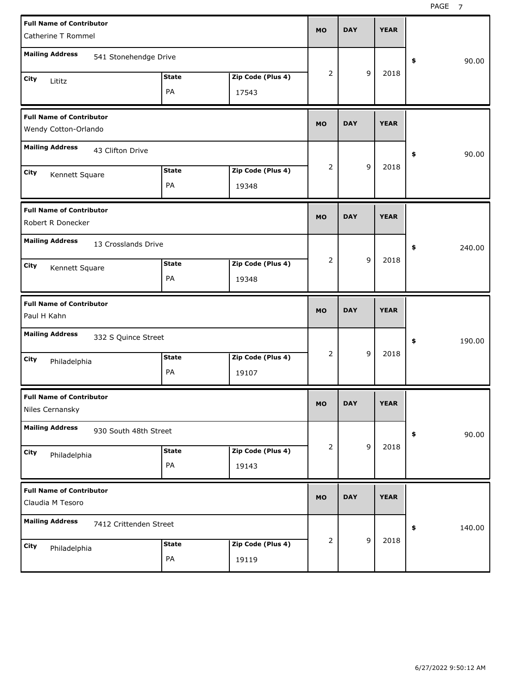| <b>Full Name of Contributor</b><br>Catherine T Rommel   |                    |                            | <b>MO</b>      | <b>DAY</b> |             | <b>YEAR</b> |              |
|---------------------------------------------------------|--------------------|----------------------------|----------------|------------|-------------|-------------|--------------|
| <b>Mailing Address</b><br>541 Stonehendge Drive         |                    |                            |                |            |             |             | \$<br>90.00  |
| City<br>Lititz                                          | <b>State</b><br>PA | Zip Code (Plus 4)<br>17543 | $\overline{2}$ |            | 9           | 2018        |              |
| <b>Full Name of Contributor</b><br>Wendy Cotton-Orlando |                    |                            | <b>MO</b>      | <b>DAY</b> |             | <b>YEAR</b> |              |
| <b>Mailing Address</b><br>43 Clifton Drive              |                    |                            |                |            |             |             | \$<br>90.00  |
| City<br>Kennett Square                                  | <b>State</b><br>PA | Zip Code (Plus 4)<br>19348 | 2              |            | 9           | 2018        |              |
| <b>Full Name of Contributor</b><br>Robert R Donecker    |                    |                            | <b>MO</b>      | <b>DAY</b> |             | <b>YEAR</b> |              |
| <b>Mailing Address</b><br>13 Crosslands Drive           |                    |                            |                |            |             |             | \$<br>240.00 |
| City<br>Kennett Square                                  | <b>State</b><br>PA | Zip Code (Plus 4)<br>19348 | 2              |            | 9           | 2018        |              |
|                                                         |                    |                            |                |            |             |             |              |
| <b>Full Name of Contributor</b><br>Paul H Kahn          |                    |                            | <b>MO</b>      | <b>DAY</b> |             | <b>YEAR</b> |              |
| <b>Mailing Address</b><br>332 S Quince Street           |                    |                            |                |            |             |             | \$<br>190.00 |
| City<br>Philadelphia                                    | <b>State</b><br>PA | Zip Code (Plus 4)<br>19107 | $\overline{2}$ |            | 9           | 2018        |              |
| <b>Full Name of Contributor</b><br>Niles Cernansky      |                    |                            | MO.            | DAY        |             | YEAK        |              |
| <b>Mailing Address</b><br>930 South 48th Street         |                    |                            |                |            |             |             | 90.00<br>\$  |
| City<br>Philadelphia                                    | <b>State</b><br>PA | Zip Code (Plus 4)<br>19143 | $\overline{2}$ |            | $\mathsf g$ | 2018        |              |
| <b>Full Name of Contributor</b><br>Claudia M Tesoro     |                    |                            | <b>MO</b>      | <b>DAY</b> |             | <b>YEAR</b> |              |
| <b>Mailing Address</b><br>7412 Crittenden Street        |                    |                            |                |            |             |             | \$<br>140.00 |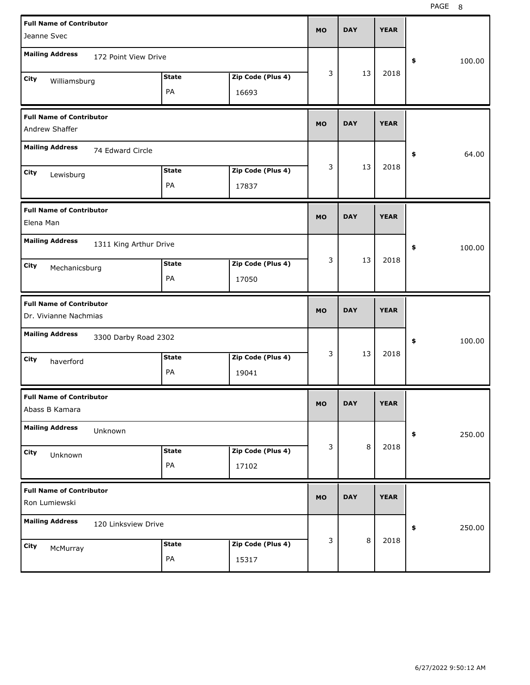| <b>Full Name of Contributor</b><br>Jeanne Svec             | MO        | <b>DAY</b> | <b>YEAR</b> |              |
|------------------------------------------------------------|-----------|------------|-------------|--------------|
| <b>Mailing Address</b><br>172 Point View Drive             |           |            |             | \$<br>100.00 |
| Zip Code (Plus 4)<br><b>State</b><br>City<br>Williamsburg  | 3         | 13         | 2018        |              |
| PA<br>16693                                                |           |            |             |              |
| <b>Full Name of Contributor</b><br>Andrew Shaffer          | MO        | <b>DAY</b> | <b>YEAR</b> |              |
| <b>Mailing Address</b><br>74 Edward Circle                 |           |            |             | 64.00<br>\$  |
| Zip Code (Plus 4)<br><b>State</b><br>City<br>Lewisburg     | 3         | 13         | 2018        |              |
| PA<br>17837                                                |           |            |             |              |
| <b>Full Name of Contributor</b><br>Elena Man               | MO        | <b>DAY</b> | <b>YEAR</b> |              |
| <b>Mailing Address</b><br>1311 King Arthur Drive           |           |            |             | \$<br>100.00 |
| Zip Code (Plus 4)<br><b>State</b><br>City<br>Mechanicsburg | 3         | 13         | 2018        |              |
| PA<br>17050                                                |           |            |             |              |
|                                                            |           |            |             |              |
| <b>Full Name of Contributor</b><br>Dr. Vivianne Nachmias   | MO        | <b>DAY</b> | <b>YEAR</b> |              |
| <b>Mailing Address</b><br>3300 Darby Road 2302             |           |            |             | 100.00<br>\$ |
| Zip Code (Plus 4)<br><b>State</b><br>City<br>haverford     | 3         | 13         | 2018        |              |
| PA<br>19041                                                |           |            |             |              |
| <b>Full Name of Contributor</b><br>Abass B Kamara          | MU.       | DAY        | <b>YEAR</b> |              |
| <b>Mailing Address</b><br>Unknown                          |           |            |             | 250.00<br>\$ |
| Zip Code (Plus 4)<br><b>State</b><br>City                  | 3         | $\,8\,$    | 2018        |              |
| Unknown<br>PA<br>17102                                     |           |            |             |              |
| <b>Full Name of Contributor</b><br>Ron Lumiewski           | <b>MO</b> | <b>DAY</b> | <b>YEAR</b> |              |
| <b>Mailing Address</b><br>120 Linksview Drive              |           |            |             | 250.00<br>\$ |
| Zip Code (Plus 4)<br><b>State</b><br>City<br>McMurray      | 3         | $\,8\,$    | 2018        |              |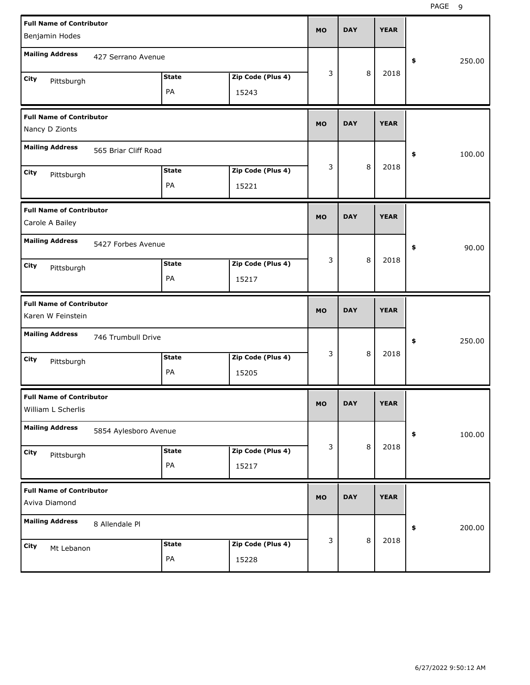| <b>Full Name of Contributor</b><br>Benjamin Hodes     |                       |              |                   | <b>MO</b> | <b>DAY</b> |   | <b>YEAR</b> |              |
|-------------------------------------------------------|-----------------------|--------------|-------------------|-----------|------------|---|-------------|--------------|
| <b>Mailing Address</b>                                | 427 Serrano Avenue    |              |                   |           |            |   |             | \$<br>250.00 |
| City<br>Pittsburgh                                    |                       | <b>State</b> | Zip Code (Plus 4) | 3         |            | 8 | 2018        |              |
|                                                       |                       | PA           | 15243             |           |            |   |             |              |
| <b>Full Name of Contributor</b><br>Nancy D Zionts     |                       |              |                   | <b>MO</b> | <b>DAY</b> |   | <b>YEAR</b> |              |
| <b>Mailing Address</b>                                | 565 Briar Cliff Road  |              |                   |           |            |   |             | \$<br>100.00 |
| City<br>Pittsburgh                                    |                       | <b>State</b> | Zip Code (Plus 4) | 3         |            | 8 | 2018        |              |
|                                                       |                       | PA           | 15221             |           |            |   |             |              |
| <b>Full Name of Contributor</b><br>Carole A Bailey    |                       |              |                   | <b>MO</b> | <b>DAY</b> |   | <b>YEAR</b> |              |
| <b>Mailing Address</b>                                | 5427 Forbes Avenue    |              |                   |           |            |   |             | \$<br>90.00  |
| City<br>Pittsburgh                                    |                       | <b>State</b> | Zip Code (Plus 4) | 3         |            | 8 | 2018        |              |
|                                                       |                       | PA           | 15217             |           |            |   |             |              |
|                                                       |                       |              |                   |           |            |   |             |              |
| <b>Full Name of Contributor</b><br>Karen W Feinstein  |                       |              |                   | <b>MO</b> | <b>DAY</b> |   | <b>YEAR</b> |              |
| <b>Mailing Address</b>                                | 746 Trumbull Drive    |              |                   |           |            |   |             | \$<br>250.00 |
| City<br>Pittsburgh                                    |                       | <b>State</b> | Zip Code (Plus 4) | 3         |            | 8 | 2018        |              |
|                                                       |                       | PA           | 15205             |           |            |   |             |              |
| <b>Full Name of Contributor</b><br>William L Scherlis |                       |              |                   | МO        | DAY        |   | <b>YEAR</b> |              |
| <b>Mailing Address</b>                                | 5854 Aylesboro Avenue |              |                   |           |            |   |             | \$<br>100.00 |
| City                                                  |                       | <b>State</b> | Zip Code (Plus 4) | 3         |            | 8 | 2018        |              |
| Pittsburgh                                            |                       | PA           | 15217             |           |            |   |             |              |
| <b>Full Name of Contributor</b><br>Aviva Diamond      |                       |              |                   | <b>MO</b> | <b>DAY</b> |   | <b>YEAR</b> |              |
| <b>Mailing Address</b>                                | 8 Allendale Pl        |              |                   |           |            |   |             | \$<br>200.00 |
| City<br>Mt Lebanon                                    |                       | <b>State</b> | Zip Code (Plus 4) | 3         |            | 8 | 2018        |              |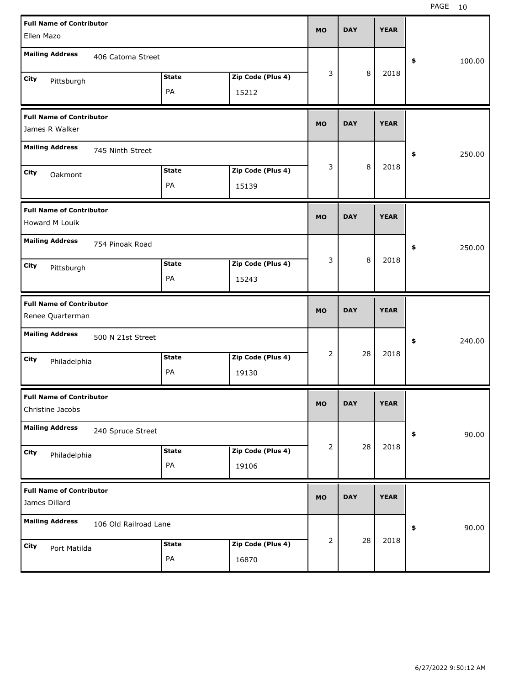| <b>Full Name of Contributor</b>                     |                       |              |                   | <b>MO</b>      | <b>DAY</b> | <b>YEAR</b> |              |
|-----------------------------------------------------|-----------------------|--------------|-------------------|----------------|------------|-------------|--------------|
| Ellen Mazo                                          |                       |              |                   |                |            |             |              |
| <b>Mailing Address</b>                              | 406 Catoma Street     |              |                   |                |            |             | \$<br>100.00 |
| City<br>Pittsburgh                                  |                       | <b>State</b> | Zip Code (Plus 4) | 3              | 8          | 2018        |              |
|                                                     |                       | PA           | 15212             |                |            |             |              |
| <b>Full Name of Contributor</b><br>James R Walker   |                       |              |                   | <b>MO</b>      | <b>DAY</b> | <b>YEAR</b> |              |
|                                                     |                       |              |                   |                |            |             |              |
| <b>Mailing Address</b>                              | 745 Ninth Street      |              |                   |                |            |             | \$<br>250.00 |
| City<br>Oakmont                                     |                       | <b>State</b> | Zip Code (Plus 4) | 3              | 8          | 2018        |              |
|                                                     |                       | PA           | 15139             |                |            |             |              |
| <b>Full Name of Contributor</b><br>Howard M Louik   |                       |              |                   | <b>MO</b>      | <b>DAY</b> | <b>YEAR</b> |              |
| <b>Mailing Address</b>                              | 754 Pinoak Road       |              |                   |                |            |             | \$<br>250.00 |
| City<br>Pittsburgh                                  |                       | <b>State</b> | Zip Code (Plus 4) | 3              | 8          | 2018        |              |
|                                                     |                       | PA           | 15243             |                |            |             |              |
|                                                     |                       |              |                   |                |            |             |              |
| <b>Full Name of Contributor</b><br>Renee Quarterman |                       |              |                   | <b>MO</b>      | <b>DAY</b> | <b>YEAR</b> |              |
| <b>Mailing Address</b>                              | 500 N 21st Street     |              |                   |                |            |             | \$<br>240.00 |
| City                                                |                       | <b>State</b> | Zip Code (Plus 4) | $\overline{2}$ | 28         | 2018        |              |
| Philadelphia                                        |                       | PA           | 19130             |                |            |             |              |
| <b>Full Name of Contributor</b><br>Christine Jacobs |                       |              |                   | МO             | <b>DAY</b> | <b>YEAR</b> |              |
| <b>Mailing Address</b>                              | 240 Spruce Street     |              |                   |                |            |             | \$<br>90.00  |
| City                                                |                       | <b>State</b> | Zip Code (Plus 4) | 2              | 28         | 2018        |              |
| Philadelphia                                        |                       | PA           | 19106             |                |            |             |              |
| <b>Full Name of Contributor</b><br>James Dillard    |                       |              |                   | <b>MO</b>      | <b>DAY</b> | <b>YEAR</b> |              |
| <b>Mailing Address</b>                              | 106 Old Railroad Lane |              |                   |                |            |             | \$<br>90.00  |
| City<br>Port Matilda                                |                       | <b>State</b> | Zip Code (Plus 4) | 2              | 28         | 2018        |              |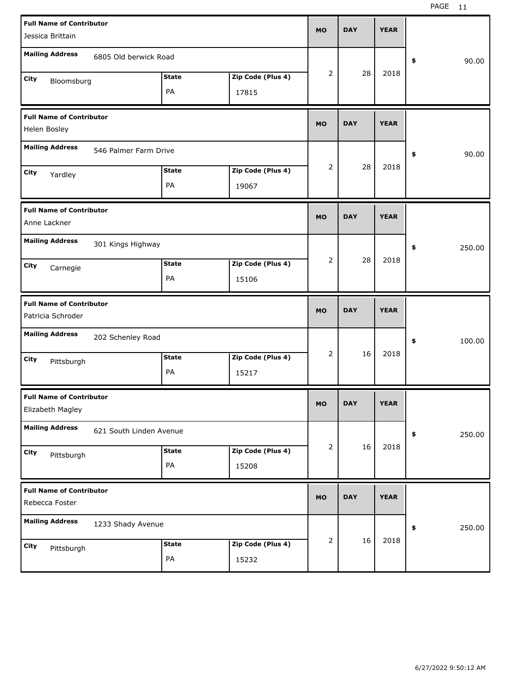| <b>Full Name of Contributor</b><br>Jessica Brittain  |                         |                    |                            | <b>MO</b> | <b>DAY</b> | <b>YEAR</b> |              |
|------------------------------------------------------|-------------------------|--------------------|----------------------------|-----------|------------|-------------|--------------|
| <b>Mailing Address</b>                               | 6805 Old berwick Road   |                    |                            |           |            |             | \$<br>90.00  |
| City<br>Bloomsburg                                   |                         | <b>State</b><br>PA | Zip Code (Plus 4)<br>17815 | 2         | 28         | 2018        |              |
| <b>Full Name of Contributor</b><br>Helen Bosley      |                         |                    |                            | <b>MO</b> | <b>DAY</b> | <b>YEAR</b> |              |
| <b>Mailing Address</b>                               | 546 Palmer Farm Drive   |                    |                            |           |            |             | \$<br>90.00  |
| City<br>Yardley                                      |                         | <b>State</b><br>PA | Zip Code (Plus 4)<br>19067 | 2         | 28         | 2018        |              |
| <b>Full Name of Contributor</b><br>Anne Lackner      |                         |                    |                            | <b>MO</b> | <b>DAY</b> | <b>YEAR</b> |              |
| <b>Mailing Address</b>                               | 301 Kings Highway       |                    |                            |           |            |             | \$<br>250.00 |
| City<br>Carnegie                                     |                         | <b>State</b><br>PA | Zip Code (Plus 4)<br>15106 | 2         | 28         | 2018        |              |
|                                                      |                         |                    |                            |           |            |             |              |
| <b>Full Name of Contributor</b><br>Patricia Schroder |                         |                    |                            | <b>MO</b> | <b>DAY</b> | <b>YEAR</b> |              |
| <b>Mailing Address</b>                               | 202 Schenley Road       |                    |                            |           |            |             | \$<br>100.00 |
| City<br>Pittsburgh                                   |                         | <b>State</b><br>PA | Zip Code (Plus 4)<br>15217 | 2         | 16         | 2018        |              |
| <b>Full Name of Contributor</b><br>Elizabeth Magley  |                         |                    |                            | МO        | <b>DAY</b> | <b>YEAR</b> |              |
| <b>Mailing Address</b>                               | 621 South Linden Avenue |                    |                            |           |            |             | 250.00<br>\$ |
| City<br>Pittsburgh                                   |                         | <b>State</b><br>PA | Zip Code (Plus 4)<br>15208 | 2         | 16         | 2018        |              |
| <b>Full Name of Contributor</b><br>Rebecca Foster    |                         |                    |                            | <b>MO</b> | <b>DAY</b> | <b>YEAR</b> |              |
| <b>Mailing Address</b>                               | 1233 Shady Avenue       |                    |                            | 2         | 16         | 2018        | \$<br>250.00 |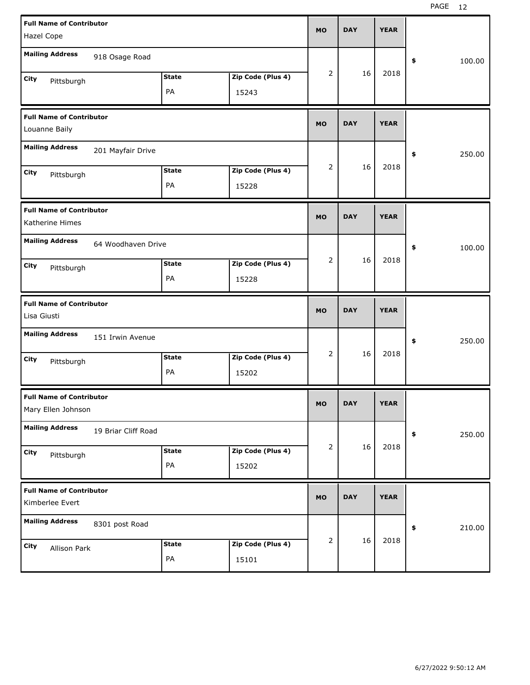| <b>Full Name of Contributor</b>                  |                     |              |                   | <b>MO</b>      | <b>DAY</b> | <b>YEAR</b> |              |
|--------------------------------------------------|---------------------|--------------|-------------------|----------------|------------|-------------|--------------|
| Hazel Cope                                       |                     |              |                   |                |            |             |              |
| <b>Mailing Address</b>                           | 918 Osage Road      |              |                   |                |            |             | \$<br>100.00 |
| City<br>Pittsburgh                               |                     | <b>State</b> | Zip Code (Plus 4) | $\overline{2}$ | 16         | 2018        |              |
|                                                  |                     | PA           | 15243             |                |            |             |              |
| <b>Full Name of Contributor</b><br>Louanne Baily |                     |              |                   | <b>MO</b>      | <b>DAY</b> | <b>YEAR</b> |              |
|                                                  |                     |              |                   |                |            |             |              |
| <b>Mailing Address</b>                           | 201 Mayfair Drive   |              |                   |                |            |             | \$<br>250.00 |
| City<br>Pittsburgh                               |                     | <b>State</b> | Zip Code (Plus 4) | 2              | 16         | 2018        |              |
|                                                  |                     | PA           | 15228             |                |            |             |              |
| <b>Full Name of Contributor</b>                  |                     |              |                   | <b>MO</b>      | <b>DAY</b> | <b>YEAR</b> |              |
| Katherine Himes                                  |                     |              |                   |                |            |             |              |
| <b>Mailing Address</b>                           | 64 Woodhaven Drive  |              |                   |                |            |             | \$<br>100.00 |
| City<br>Pittsburgh                               |                     | <b>State</b> | Zip Code (Plus 4) | 2              | 16         | 2018        |              |
|                                                  |                     | PA           | 15228             |                |            |             |              |
|                                                  |                     |              |                   |                |            |             |              |
| <b>Full Name of Contributor</b>                  |                     |              |                   | <b>MO</b>      | <b>DAY</b> | <b>YEAR</b> |              |
| Lisa Giusti                                      |                     |              |                   |                |            |             |              |
| <b>Mailing Address</b>                           | 151 Irwin Avenue    |              |                   |                |            |             | \$<br>250.00 |
| City                                             |                     | <b>State</b> | Zip Code (Plus 4) | $\overline{2}$ | 16         | 2018        |              |
| Pittsburgh                                       |                     | PA           | 15202             |                |            |             |              |
| <b>Full Name of Contributor</b>                  |                     |              |                   |                |            |             |              |
| Mary Ellen Johnson                               |                     |              |                   | MO.            | DAY        | YEAR        |              |
| <b>Mailing Address</b>                           | 19 Briar Cliff Road |              |                   |                |            |             | 250.00<br>\$ |
| City                                             |                     | <b>State</b> | Zip Code (Plus 4) | 2              | 16         | 2018        |              |
| Pittsburgh                                       |                     | PA           | 15202             |                |            |             |              |
| <b>Full Name of Contributor</b>                  |                     |              |                   |                |            |             |              |
| Kimberlee Evert                                  |                     |              |                   | <b>MO</b>      | <b>DAY</b> | <b>YEAR</b> |              |
| <b>Mailing Address</b>                           | 8301 post Road      |              |                   |                |            |             | 210.00<br>\$ |
| City<br>Allison Park                             |                     | <b>State</b> | Zip Code (Plus 4) | $\overline{2}$ | 16         | 2018        |              |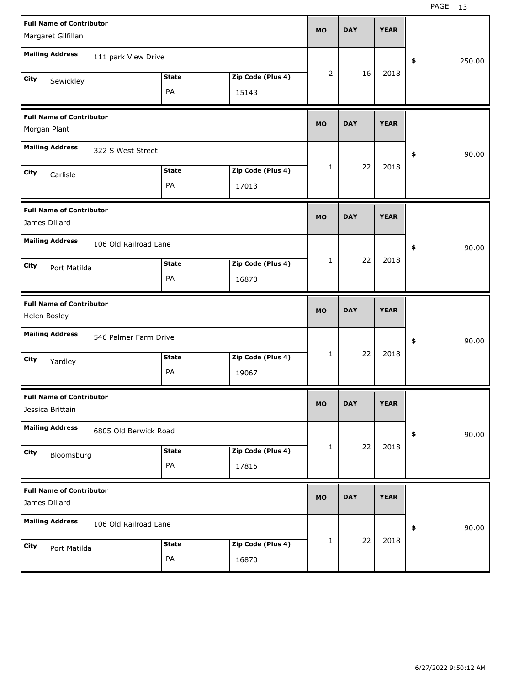| <b>Full Name of Contributor</b><br>Margaret Gilfillan                    | <b>MO</b> | <b>DAY</b> | <b>YEAR</b> |              |
|--------------------------------------------------------------------------|-----------|------------|-------------|--------------|
| <b>Mailing Address</b><br>111 park View Drive                            |           |            |             | \$<br>250.00 |
| Zip Code (Plus 4)<br><b>State</b><br>City<br>Sewickley<br>PA<br>15143    | 2         | 16         | 2018        |              |
| <b>Full Name of Contributor</b><br>Morgan Plant                          | <b>MO</b> | <b>DAY</b> | <b>YEAR</b> |              |
| <b>Mailing Address</b><br>322 S West Street                              |           |            |             | \$<br>90.00  |
| Zip Code (Plus 4)<br><b>State</b><br>City<br>Carlisle<br>PA<br>17013     | 1         | 22         | 2018        |              |
| <b>Full Name of Contributor</b><br>James Dillard                         | <b>MO</b> | <b>DAY</b> | <b>YEAR</b> |              |
| <b>Mailing Address</b><br>106 Old Railroad Lane                          |           |            |             | \$<br>90.00  |
| Zip Code (Plus 4)<br><b>State</b><br>City<br>Port Matilda<br>PA<br>16870 | 1         | 22         | 2018        |              |
|                                                                          |           |            |             |              |
| <b>Full Name of Contributor</b><br>Helen Bosley                          | <b>MO</b> | <b>DAY</b> | <b>YEAR</b> |              |
| <b>Mailing Address</b><br>546 Palmer Farm Drive                          |           |            |             | \$<br>90.00  |
| Zip Code (Plus 4)<br><b>State</b><br>City<br>Yardley<br>PA<br>19067      | 1         | 22         | 2018        |              |
| <b>Full Name of Contributor</b><br>Jessica Brittain                      | <b>MO</b> | DAY        | YEAK        |              |
| <b>Mailing Address</b><br>6805 Old Berwick Road                          |           |            |             | 90.00<br>\$  |
| Zip Code (Plus 4)<br><b>State</b><br>City<br>Bloomsburg<br>PA<br>17815   | 1         | 22         | 2018        |              |
| <b>Full Name of Contributor</b><br>James Dillard                         | <b>MO</b> | <b>DAY</b> | <b>YEAR</b> |              |
| <b>Mailing Address</b><br>106 Old Railroad Lane                          |           | 22         | 2018        | 90.00<br>\$  |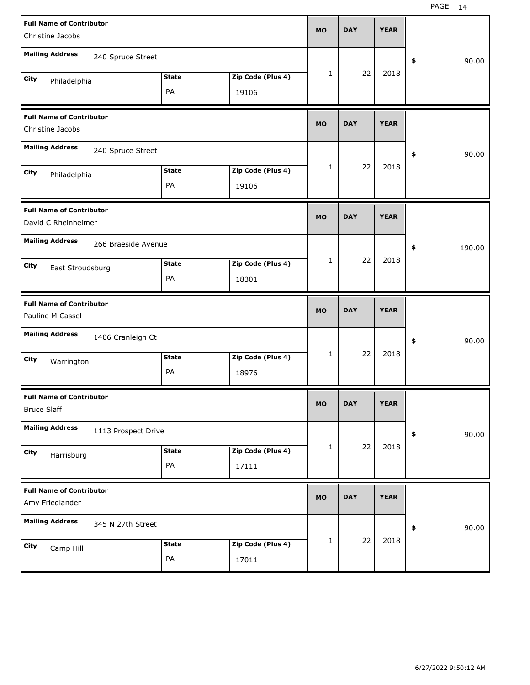| <b>Full Name of Contributor</b>                        |                   | <b>MO</b> | <b>DAY</b> | <b>YEAR</b> |              |
|--------------------------------------------------------|-------------------|-----------|------------|-------------|--------------|
| Christine Jacobs                                       |                   |           |            |             |              |
| <b>Mailing Address</b><br>240 Spruce Street            |                   |           |            |             | 90.00<br>\$  |
| <b>State</b><br>City<br>Philadelphia                   | Zip Code (Plus 4) | 1         | 22         | 2018        |              |
| PA                                                     | 19106             |           |            |             |              |
| <b>Full Name of Contributor</b><br>Christine Jacobs    |                   | <b>MO</b> | <b>DAY</b> | <b>YEAR</b> |              |
| <b>Mailing Address</b><br>240 Spruce Street            |                   |           |            |             | 90.00<br>\$  |
| <b>State</b><br>City<br>Philadelphia                   | Zip Code (Plus 4) | 1         | 22         | 2018        |              |
| PA                                                     | 19106             |           |            |             |              |
| <b>Full Name of Contributor</b><br>David C Rheinheimer |                   | <b>MO</b> | <b>DAY</b> | <b>YEAR</b> |              |
| <b>Mailing Address</b><br>266 Braeside Avenue          |                   |           |            |             | \$<br>190.00 |
| <b>State</b><br>City<br>East Stroudsburg               | Zip Code (Plus 4) | 1         | 22         | 2018        |              |
| PA                                                     | 18301             |           |            |             |              |
|                                                        |                   |           |            |             |              |
| <b>Full Name of Contributor</b><br>Pauline M Cassel    |                   | <b>MO</b> | <b>DAY</b> | <b>YEAR</b> |              |
| <b>Mailing Address</b><br>1406 Cranleigh Ct            |                   |           |            |             | 90.00<br>\$  |
| <b>State</b><br>City                                   | Zip Code (Plus 4) | 1         | 22         | 2018        |              |
| Warrington<br>PA                                       | 18976             |           |            |             |              |
| <b>Full Name of Contributor</b><br><b>Bruce Slaff</b>  |                   | <b>MO</b> | <b>DAY</b> | <b>YEAR</b> |              |
| <b>Mailing Address</b><br>1113 Prospect Drive          |                   |           |            |             | 90.00<br>\$  |
| <b>State</b><br>City                                   | Zip Code (Plus 4) | 1         | 22         | 2018        |              |
| Harrisburg<br>PA                                       | 17111             |           |            |             |              |
| <b>Full Name of Contributor</b><br>Amy Friedlander     |                   | <b>MO</b> | <b>DAY</b> | <b>YEAR</b> |              |
| <b>Mailing Address</b><br>345 N 27th Street            |                   |           |            |             | 90.00<br>\$  |
| <b>State</b><br>City<br>Camp Hill                      | Zip Code (Plus 4) | 1         | 22         | 2018        |              |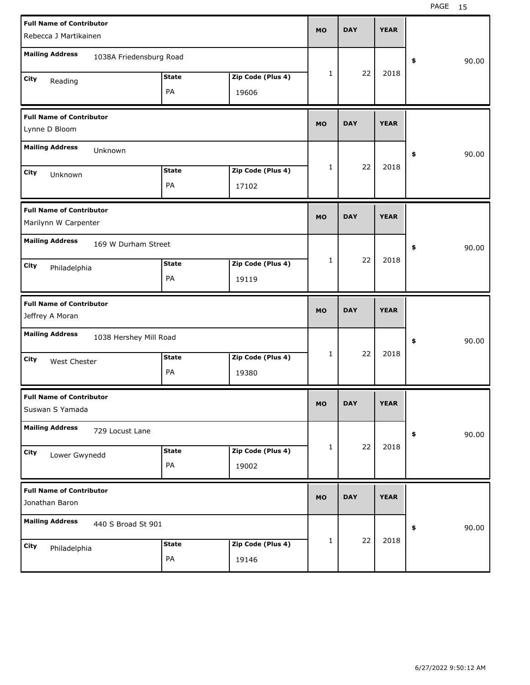| <b>Full Name of Contributor</b>                         |              |                   | <b>MO</b> | <b>DAY</b> | <b>YEAR</b> |             |       |
|---------------------------------------------------------|--------------|-------------------|-----------|------------|-------------|-------------|-------|
| Rebecca J Martikainen                                   |              |                   |           |            |             |             |       |
| <b>Mailing Address</b><br>1038A Friedensburg Road       |              |                   |           |            |             | 90.00<br>\$ |       |
| City<br>Reading                                         | <b>State</b> | Zip Code (Plus 4) | 1         | 22         | 2018        |             |       |
|                                                         | PA           | 19606             |           |            |             |             |       |
| <b>Full Name of Contributor</b><br>Lynne D Bloom        |              |                   | <b>MO</b> | <b>DAY</b> | <b>YEAR</b> |             |       |
| <b>Mailing Address</b><br>Unknown                       |              |                   |           |            |             | 90.00<br>\$ |       |
| City                                                    | <b>State</b> | Zip Code (Plus 4) | 1         | 22         | 2018        |             |       |
| Unknown                                                 | PA           | 17102             |           |            |             |             |       |
| <b>Full Name of Contributor</b><br>Marilynn W Carpenter |              |                   | <b>MO</b> | <b>DAY</b> | <b>YEAR</b> |             |       |
| <b>Mailing Address</b><br>169 W Durham Street           |              |                   |           |            |             | \$<br>90.00 |       |
| City<br>Philadelphia                                    | <b>State</b> | Zip Code (Plus 4) | 1         | 22         | 2018        |             |       |
|                                                         | PA           | 19119             |           |            |             |             |       |
|                                                         |              |                   |           |            |             |             |       |
| <b>Full Name of Contributor</b><br>Jeffrey A Moran      |              |                   | <b>MO</b> | <b>DAY</b> | <b>YEAR</b> |             |       |
| <b>Mailing Address</b><br>1038 Hershey Mill Road        |              |                   |           |            |             | \$          | 90.00 |
| City<br>West Chester                                    | <b>State</b> | Zip Code (Plus 4) | 1         | 22         | 2018        |             |       |
|                                                         | PA           | 19380             |           |            |             |             |       |
| <b>Full Name of Contributor</b><br>Suswan S Yamada      |              |                   | МO        | <b>DAY</b> | <b>YEAR</b> |             |       |
| <b>Mailing Address</b><br>729 Locust Lane               |              |                   |           |            |             | \$          | 90.00 |
| City                                                    | <b>State</b> | Zip Code (Plus 4) | 1         | 22         | 2018        |             |       |
| Lower Gwynedd                                           | PA           | 19002             |           |            |             |             |       |
| <b>Full Name of Contributor</b><br>Jonathan Baron       |              |                   | <b>MO</b> | <b>DAY</b> | <b>YEAR</b> |             |       |
| <b>Mailing Address</b><br>440 S Broad St 901            |              |                   |           |            |             | \$          | 90.00 |
| City<br>Philadelphia                                    | <b>State</b> | Zip Code (Plus 4) | 1         | 22         | 2018        |             |       |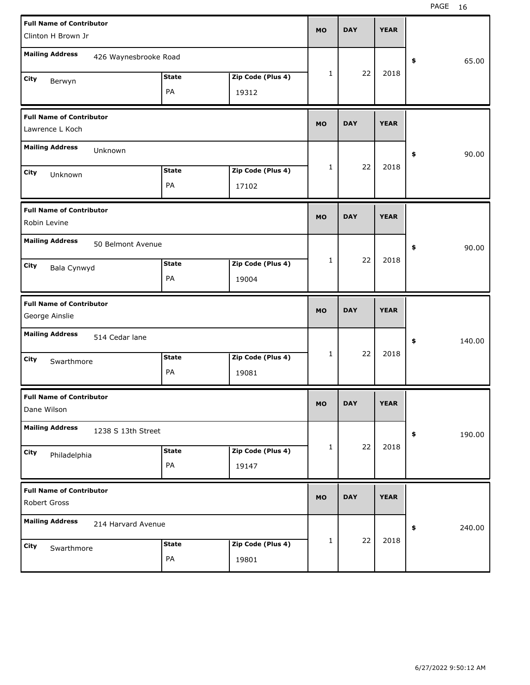| <b>Full Name of Contributor</b><br>Clinton H Brown Jr |                    |                            | <b>MO</b>    | <b>DAY</b> | <b>YEAR</b> |              |
|-------------------------------------------------------|--------------------|----------------------------|--------------|------------|-------------|--------------|
|                                                       |                    |                            |              |            |             |              |
| <b>Mailing Address</b><br>426 Waynesbrooke Road       |                    |                            |              |            |             | \$<br>65.00  |
| City<br>Berwyn                                        | <b>State</b>       | Zip Code (Plus 4)          | 1            | 22         | 2018        |              |
|                                                       | PA                 | 19312                      |              |            |             |              |
| <b>Full Name of Contributor</b>                       |                    |                            | <b>MO</b>    | <b>DAY</b> | <b>YEAR</b> |              |
| Lawrence L Koch                                       |                    |                            |              |            |             |              |
| <b>Mailing Address</b><br>Unknown                     |                    |                            |              |            |             | \$<br>90.00  |
| City<br>Unknown                                       | <b>State</b>       | Zip Code (Plus 4)          | 1            | 22         | 2018        |              |
|                                                       | PA                 | 17102                      |              |            |             |              |
| <b>Full Name of Contributor</b>                       |                    |                            |              | <b>DAY</b> | <b>YEAR</b> |              |
| Robin Levine                                          |                    |                            | <b>MO</b>    |            |             |              |
| <b>Mailing Address</b><br>50 Belmont Avenue           |                    |                            |              |            |             | \$<br>90.00  |
| City<br>Bala Cynwyd                                   | <b>State</b>       | Zip Code (Plus 4)          | 1            | 22         | 2018        |              |
|                                                       | PA                 | 19004                      |              |            |             |              |
|                                                       |                    |                            |              |            |             |              |
| <b>Full Name of Contributor</b><br>George Ainslie     |                    |                            | <b>MO</b>    | <b>DAY</b> | <b>YEAR</b> |              |
| <b>Mailing Address</b><br>514 Cedar lane              |                    |                            |              |            |             | \$<br>140.00 |
|                                                       | <b>State</b>       | Zip Code (Plus 4)          | $\mathbf{1}$ | 22         | 2018        |              |
| City<br>Swarthmore                                    | PA                 | 19081                      |              |            |             |              |
| <b>Full Name of Contributor</b><br>Dane Wilson        |                    |                            | <b>MO</b>    | <b>DAY</b> | <b>YEAR</b> |              |
| <b>Mailing Address</b><br>1238 S 13th Street          |                    |                            |              |            |             | \$<br>190.00 |
|                                                       | <b>State</b>       | Zip Code (Plus 4)          | 1            | 22         | 2018        |              |
| City<br>Philadelphia                                  | PA                 | 19147                      |              |            |             |              |
| <b>Full Name of Contributor</b><br>Robert Gross       |                    |                            | <b>MO</b>    | <b>DAY</b> | <b>YEAR</b> |              |
| <b>Mailing Address</b>                                |                    |                            |              |            |             |              |
| 214 Harvard Avenue                                    |                    |                            |              |            |             | \$<br>240.00 |
| City<br>Swarthmore                                    | <b>State</b><br>PA | Zip Code (Plus 4)<br>19801 | 1            | 22         | 2018        |              |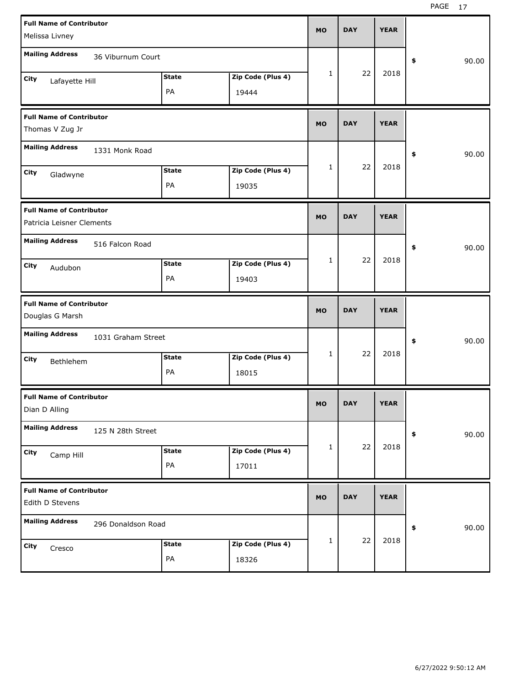| <b>Full Name of Contributor</b><br>Melissa Livney                          | <b>MO</b>    | <b>DAY</b> | <b>YEAR</b> |             |
|----------------------------------------------------------------------------|--------------|------------|-------------|-------------|
| <b>Mailing Address</b><br>36 Viburnum Court                                |              |            |             | 90.00<br>\$ |
| Zip Code (Plus 4)<br><b>State</b><br>City<br>Lafayette Hill<br>PA<br>19444 | $\mathbf{1}$ | 22         | 2018        |             |
| <b>Full Name of Contributor</b><br>Thomas V Zug Jr                         | <b>MO</b>    | <b>DAY</b> | <b>YEAR</b> |             |
| <b>Mailing Address</b><br>1331 Monk Road                                   |              |            |             | \$<br>90.00 |
| Zip Code (Plus 4)<br><b>State</b><br>City<br>Gladwyne<br>PA<br>19035       | $\mathbf{1}$ | 22         | 2018        |             |
| <b>Full Name of Contributor</b><br>Patricia Leisner Clements               | <b>MO</b>    | <b>DAY</b> | <b>YEAR</b> |             |
| <b>Mailing Address</b><br>516 Falcon Road                                  |              |            |             | \$<br>90.00 |
| Zip Code (Plus 4)<br><b>State</b><br>City<br>Audubon<br>PA<br>19403        | $\mathbf{1}$ | 22         | 2018        |             |
|                                                                            |              |            |             |             |
| <b>Full Name of Contributor</b><br>Douglas G Marsh                         | <b>MO</b>    | <b>DAY</b> | <b>YEAR</b> |             |
| <b>Mailing Address</b><br>1031 Graham Street                               |              |            |             | 90.00<br>\$ |
| Zip Code (Plus 4)<br><b>State</b><br>City<br>Bethlehem<br>PA<br>18015      | $\mathbf{1}$ | 22         | 2018        |             |
| <b>Full Name of Contributor</b><br>Dian D Alling                           | <b>MO</b>    | <b>DAY</b> | <b>YEAR</b> |             |
| <b>Mailing Address</b><br>125 N 28th Street                                |              |            |             | 90.00<br>\$ |
| Zip Code (Plus 4)<br><b>State</b><br>City<br>Camp Hill<br>PA<br>17011      | $\mathbf{1}$ | 22         | 2018        |             |
| <b>Full Name of Contributor</b><br>Edith D Stevens                         | <b>MO</b>    | <b>DAY</b> | <b>YEAR</b> |             |
| <b>Mailing Address</b><br>296 Donaldson Road                               |              | 22         | 2018        | 90.00<br>\$ |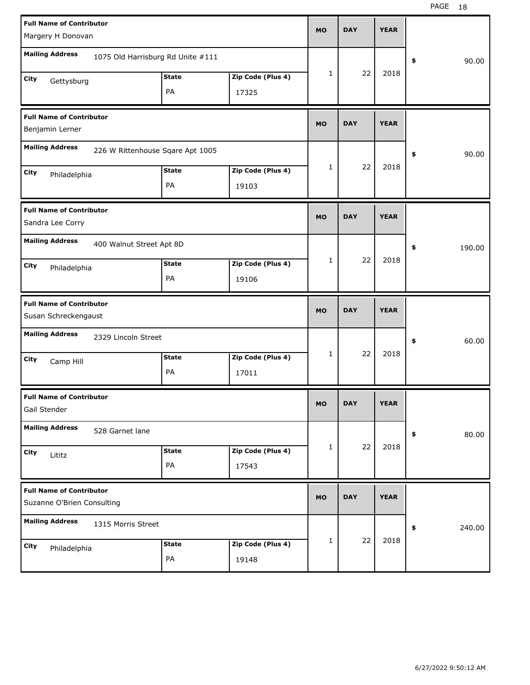| <b>Full Name of Contributor</b>                               |                                   |                   | <b>MO</b> | <b>DAY</b> | <b>YEAR</b> |              |
|---------------------------------------------------------------|-----------------------------------|-------------------|-----------|------------|-------------|--------------|
| Margery H Donovan                                             |                                   |                   |           |            |             |              |
| <b>Mailing Address</b>                                        | 1075 Old Harrisburg Rd Unite #111 |                   |           |            |             | 90.00<br>\$  |
| City<br>Gettysburg                                            | <b>State</b>                      | Zip Code (Plus 4) | 1         | 22         | 2018        |              |
|                                                               | PA                                | 17325             |           |            |             |              |
| <b>Full Name of Contributor</b><br>Benjamin Lerner            |                                   |                   | <b>MO</b> | <b>DAY</b> | <b>YEAR</b> |              |
| <b>Mailing Address</b><br>226 W Rittenhouse Sqare Apt 1005    |                                   |                   |           |            |             | 90.00<br>\$  |
| City<br>Philadelphia                                          | <b>State</b>                      | Zip Code (Plus 4) | 1         | 22         | 2018        |              |
|                                                               | PA                                | 19103             |           |            |             |              |
| <b>Full Name of Contributor</b><br>Sandra Lee Corry           |                                   |                   | <b>MO</b> | <b>DAY</b> | <b>YEAR</b> |              |
| <b>Mailing Address</b><br>400 Walnut Street Apt 8D            |                                   |                   |           |            |             | \$<br>190.00 |
| City<br>Philadelphia                                          | <b>State</b>                      | Zip Code (Plus 4) | 1         | 22         | 2018        |              |
|                                                               | PA                                | 19106             |           |            |             |              |
|                                                               |                                   |                   |           |            |             |              |
| <b>Full Name of Contributor</b><br>Susan Schreckengaust       |                                   |                   | <b>MO</b> | <b>DAY</b> | <b>YEAR</b> |              |
| <b>Mailing Address</b><br>2329 Lincoln Street                 |                                   |                   |           |            |             | 60.00<br>\$  |
| City<br>Camp Hill                                             | <b>State</b>                      | Zip Code (Plus 4) | 1         | 22         | 2018        |              |
|                                                               | PA                                | 17011             |           |            |             |              |
| <b>Full Name of Contributor</b><br>Gail Stender               |                                   |                   | МO        | <b>DAY</b> | <b>YEAR</b> |              |
| <b>Mailing Address</b><br>528 Garnet lane                     |                                   |                   |           |            |             | 80.00<br>\$  |
| City<br>Lititz                                                | <b>State</b>                      | Zip Code (Plus 4) | 1         | 22         | 2018        |              |
|                                                               | PA                                | 17543             |           |            |             |              |
| <b>Full Name of Contributor</b><br>Suzanne O'Brien Consulting |                                   |                   | <b>MO</b> | <b>DAY</b> | <b>YEAR</b> |              |
| <b>Mailing Address</b><br>1315 Morris Street                  |                                   |                   |           |            |             | \$<br>240.00 |
| City<br>Philadelphia                                          | <b>State</b>                      | Zip Code (Plus 4) | 1         | 22         | 2018        |              |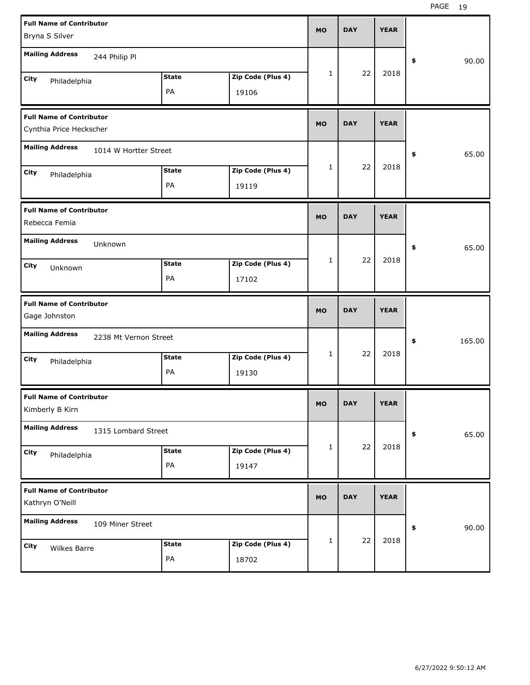| <b>Full Name of Contributor</b>                            |              |                   | <b>MO</b>    | <b>DAY</b> | <b>YEAR</b> |              |
|------------------------------------------------------------|--------------|-------------------|--------------|------------|-------------|--------------|
| Bryna S Silver                                             |              |                   |              |            |             |              |
| <b>Mailing Address</b><br>244 Philip Pl                    |              |                   |              |            |             | \$<br>90.00  |
| City<br>Philadelphia                                       | <b>State</b> | Zip Code (Plus 4) | 1            | 22         | 2018        |              |
|                                                            | PA           | 19106             |              |            |             |              |
| <b>Full Name of Contributor</b><br>Cynthia Price Heckscher |              |                   | <b>MO</b>    | <b>DAY</b> | <b>YEAR</b> |              |
| <b>Mailing Address</b><br>1014 W Hortter Street            |              |                   |              |            |             | \$<br>65.00  |
| City<br>Philadelphia                                       | <b>State</b> | Zip Code (Plus 4) | 1            | 22         | 2018        |              |
|                                                            | PA           | 19119             |              |            |             |              |
| <b>Full Name of Contributor</b><br>Rebecca Femia           |              |                   | <b>MO</b>    | <b>DAY</b> | <b>YEAR</b> |              |
| <b>Mailing Address</b><br>Unknown                          |              |                   |              |            |             | \$<br>65.00  |
| City<br>Unknown                                            | <b>State</b> | Zip Code (Plus 4) | 1            | 22         | 2018        |              |
|                                                            | PA           | 17102             |              |            |             |              |
|                                                            |              |                   |              |            |             |              |
| <b>Full Name of Contributor</b><br>Gage Johnston           |              |                   | <b>MO</b>    | <b>DAY</b> | <b>YEAR</b> |              |
| <b>Mailing Address</b><br>2238 Mt Vernon Street            |              |                   |              |            |             | \$<br>165.00 |
| City                                                       | <b>State</b> | Zip Code (Plus 4) | 1            | 22         | 2018        |              |
| Philadelphia                                               | PA           | 19130             |              |            |             |              |
| <b>Full Name of Contributor</b><br>Kimberly B Kirn         |              |                   | <b>MO</b>    | <b>DAY</b> | <b>YEAR</b> |              |
| <b>Mailing Address</b><br>1315 Lombard Street              |              |                   |              |            |             | \$<br>65.00  |
| City                                                       | <b>State</b> | Zip Code (Plus 4) | $\mathbf{1}$ | 22         | 2018        |              |
| Philadelphia                                               | PA           | 19147             |              |            |             |              |
| <b>Full Name of Contributor</b><br>Kathryn O'Neill         |              |                   | <b>MO</b>    | <b>DAY</b> | <b>YEAR</b> |              |
| <b>Mailing Address</b><br>109 Miner Street                 |              |                   |              |            |             | \$<br>90.00  |
| City<br>Wilkes Barre                                       | <b>State</b> | Zip Code (Plus 4) | $\mathbf{1}$ | 22         | 2018        |              |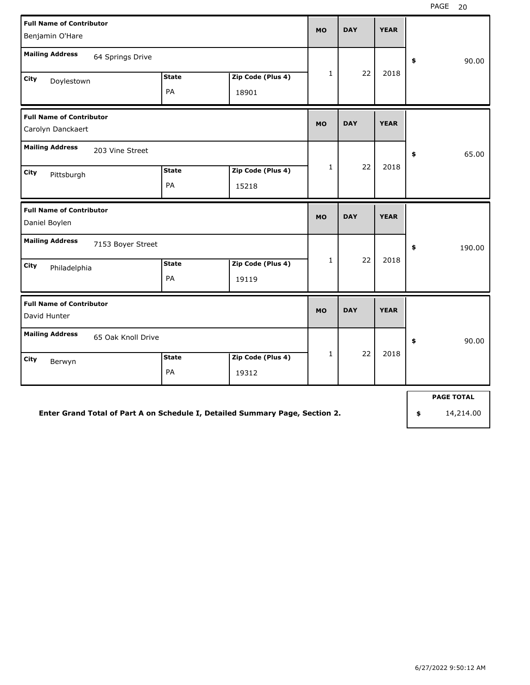| <b>Full Name of Contributor</b><br>Benjamin O'Hare   |                    |                    |                            | <b>MO</b>    | <b>DAY</b> | <b>YEAR</b> |              |
|------------------------------------------------------|--------------------|--------------------|----------------------------|--------------|------------|-------------|--------------|
| <b>Mailing Address</b>                               | 64 Springs Drive   |                    |                            |              |            |             | 90.00<br>\$  |
| <b>City</b><br>Doylestown                            |                    | <b>State</b><br>PA | Zip Code (Plus 4)<br>18901 | $\mathbf{1}$ | 22         | 2018        |              |
| <b>Full Name of Contributor</b><br>Carolyn Danckaert |                    |                    |                            | <b>MO</b>    | <b>DAY</b> | <b>YEAR</b> |              |
| <b>Mailing Address</b>                               | 203 Vine Street    |                    |                            |              |            |             | 65.00<br>\$  |
| City<br>Pittsburgh                                   |                    | <b>State</b><br>PA | Zip Code (Plus 4)<br>15218 | $\mathbf{1}$ | 22         | 2018        |              |
| <b>Full Name of Contributor</b><br>Daniel Boylen     |                    |                    |                            | <b>MO</b>    | <b>DAY</b> | <b>YEAR</b> |              |
| <b>Mailing Address</b>                               | 7153 Boyer Street  |                    |                            |              |            |             | \$<br>190.00 |
| <b>City</b><br>Philadelphia                          |                    | <b>State</b><br>PA | Zip Code (Plus 4)<br>19119 | $\mathbf{1}$ | 22         | 2018        |              |
| <b>Full Name of Contributor</b><br>David Hunter      |                    |                    |                            | <b>MO</b>    | <b>DAY</b> | <b>YEAR</b> |              |
| <b>Mailing Address</b>                               | 65 Oak Knoll Drive |                    |                            |              |            |             | \$<br>90.00  |
| <b>City</b><br>Berwyn                                |                    | <b>State</b><br>PA | Zip Code (Plus 4)<br>19312 | $\mathbf{1}$ | 22         | 2018        |              |
|                                                      |                    |                    |                            |              |            |             |              |

**Enter Grand Total of Part A on Schedule I, Detailed Summary Page, Section 2.**

**PAGE TOTAL**

**\$** 14,214.00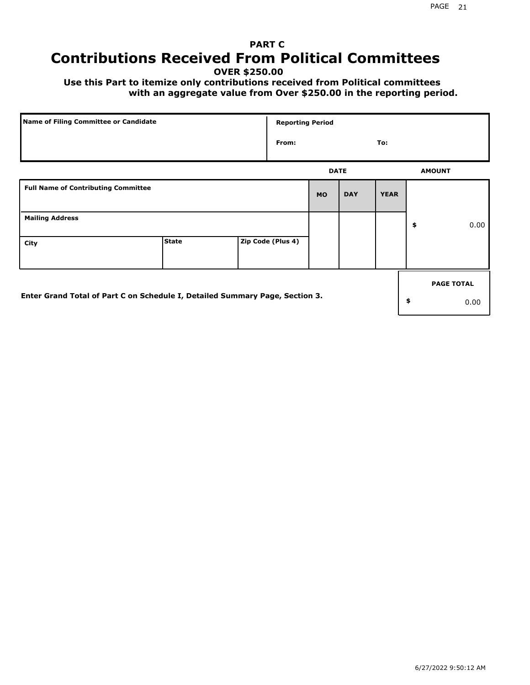# **PART C Contributions Received From Political Committees**

**OVER \$250.00**

 **Use this Part to itemize only contributions received from Political committees with an aggregate value from Over \$250.00 in the reporting period.**

| Name of Filing Committee or Candidate                                        |              | <b>Reporting Period</b> |             |            |             |                   |
|------------------------------------------------------------------------------|--------------|-------------------------|-------------|------------|-------------|-------------------|
|                                                                              |              | From:                   |             |            | To:         |                   |
|                                                                              |              |                         | <b>DATE</b> |            |             | <b>AMOUNT</b>     |
| <b>Full Name of Contributing Committee</b>                                   |              |                         | <b>MO</b>   | <b>DAY</b> | <b>YEAR</b> |                   |
| <b>Mailing Address</b>                                                       |              |                         |             |            |             | \$<br>0.00        |
| City                                                                         | <b>State</b> | Zip Code (Plus 4)       |             |            |             |                   |
|                                                                              |              |                         |             |            |             | <b>PAGE TOTAL</b> |
| Enter Grand Total of Part C on Schedule I, Detailed Summary Page, Section 3. |              |                         |             |            |             | \$<br>0.00        |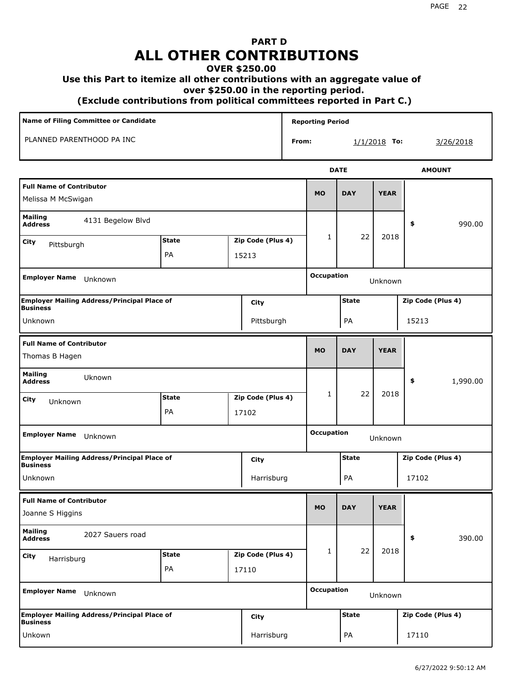# **PART D ALL OTHER CONTRIBUTIONS**

#### **OVER \$250.00**

#### **Use this Part to itemize all other contributions with an aggregate value of**

 **over \$250.00 in the reporting period.**

 **(Exclude contributions from political committees reported in Part C.)** 

| <b>Name of Filing Committee or Candidate</b><br>PLANNED PARENTHOOD PA INC |                                                    |              |  |                   | <b>Reporting Period</b> |                   |              |                |                   |               |          |
|---------------------------------------------------------------------------|----------------------------------------------------|--------------|--|-------------------|-------------------------|-------------------|--------------|----------------|-------------------|---------------|----------|
|                                                                           |                                                    |              |  |                   | From:                   |                   |              | $1/1/2018$ To: |                   | 3/26/2018     |          |
|                                                                           |                                                    |              |  |                   |                         |                   | <b>DATE</b>  |                |                   | <b>AMOUNT</b> |          |
| <b>Full Name of Contributor</b><br>Melissa M McSwigan                     |                                                    |              |  |                   |                         | <b>MO</b>         | <b>DAY</b>   | <b>YEAR</b>    |                   |               |          |
| <b>Mailing</b><br><b>Address</b>                                          | 4131 Begelow Blvd                                  |              |  |                   |                         |                   |              |                | \$                |               | 990.00   |
| City<br>Pittsburgh                                                        |                                                    | <b>State</b> |  | Zip Code (Plus 4) |                         | 1                 | 22           | 2018           |                   |               |          |
|                                                                           |                                                    | PA           |  | 15213             |                         |                   |              |                |                   |               |          |
| <b>Employer Name</b>                                                      | Unknown                                            |              |  |                   |                         | <b>Occupation</b> |              | Unknown        |                   |               |          |
| <b>Business</b>                                                           | <b>Employer Mailing Address/Principal Place of</b> |              |  | City              |                         |                   | <b>State</b> |                | Zip Code (Plus 4) |               |          |
| Unknown                                                                   |                                                    |              |  | Pittsburgh        |                         |                   | PA           |                | 15213             |               |          |
| <b>Full Name of Contributor</b><br>Thomas B Hagen                         |                                                    |              |  |                   |                         | <b>MO</b>         | <b>DAY</b>   | <b>YEAR</b>    |                   |               |          |
| <b>Mailing</b><br><b>Address</b>                                          | Uknown                                             |              |  |                   |                         |                   |              |                | \$                |               | 1,990.00 |
| City<br>Unknown                                                           |                                                    | <b>State</b> |  | Zip Code (Plus 4) |                         | $\mathbf{1}$      | 22           | 2018           |                   |               |          |
|                                                                           |                                                    | PA           |  | 17102             |                         |                   |              |                |                   |               |          |
| <b>Employer Name</b>                                                      | Unknown                                            |              |  |                   |                         | <b>Occupation</b> |              | Unknown        |                   |               |          |
| <b>Business</b>                                                           | <b>Employer Mailing Address/Principal Place of</b> |              |  | City              |                         |                   | <b>State</b> |                | Zip Code (Plus 4) |               |          |
| Unknown                                                                   |                                                    |              |  | Harrisburg        |                         |                   | PA           |                | 17102             |               |          |
| <b>Full Name of Contributor</b><br>Joanne S Higgins                       |                                                    |              |  |                   |                         | <b>MO</b>         | <b>DAY</b>   | <b>YEAR</b>    |                   |               |          |
| <b>Mailing</b><br><b>Address</b>                                          | 2027 Sauers road                                   |              |  |                   |                         |                   |              |                | \$                |               | 390.00   |
| City<br>Harrisburg                                                        |                                                    | <b>State</b> |  | Zip Code (Plus 4) |                         | 1                 | 22           | 2018           |                   |               |          |
|                                                                           |                                                    | PA           |  | 17110             |                         |                   |              |                |                   |               |          |
| <b>Employer Name</b>                                                      | Unknown                                            |              |  |                   |                         | <b>Occupation</b> |              | Unknown        |                   |               |          |
| <b>Business</b>                                                           | <b>Employer Mailing Address/Principal Place of</b> |              |  | City              |                         |                   | <b>State</b> |                | Zip Code (Plus 4) |               |          |
| Unkown                                                                    |                                                    |              |  | Harrisburg        |                         |                   | PA           |                | 17110             |               |          |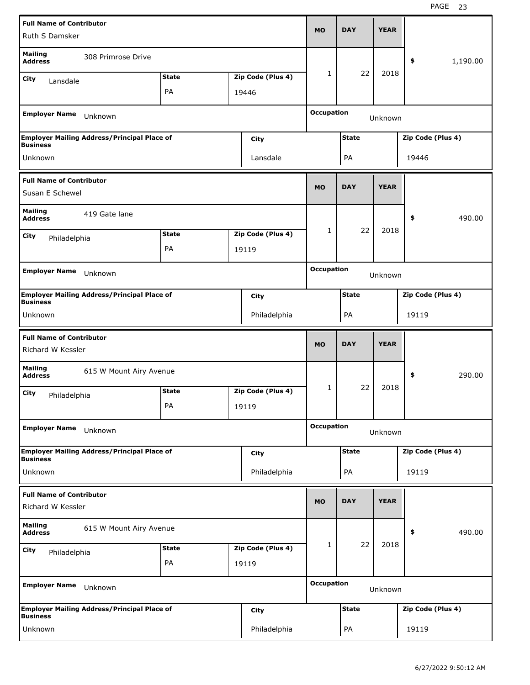| <b>Full Name of Contributor</b>                      |                                                    |              |                   |                   |              |             |                   |          |
|------------------------------------------------------|----------------------------------------------------|--------------|-------------------|-------------------|--------------|-------------|-------------------|----------|
| Ruth S Damsker                                       |                                                    |              |                   | <b>MO</b>         | <b>DAY</b>   | <b>YEAR</b> |                   |          |
| <b>Mailing</b><br><b>Address</b>                     | 308 Primrose Drive                                 |              |                   |                   |              |             | \$                | 1,190.00 |
| City<br>Lansdale                                     |                                                    | <b>State</b> | Zip Code (Plus 4) | 1                 | 22           | 2018        |                   |          |
|                                                      |                                                    | PA           | 19446             |                   |              |             |                   |          |
| <b>Employer Name</b>                                 | Unknown                                            |              |                   | <b>Occupation</b> |              | Unknown     |                   |          |
| <b>Business</b>                                      | <b>Employer Mailing Address/Principal Place of</b> |              | City              |                   | <b>State</b> |             | Zip Code (Plus 4) |          |
| Unknown                                              |                                                    |              | Lansdale          |                   | PA           |             | 19446             |          |
| <b>Full Name of Contributor</b>                      |                                                    |              |                   | <b>MO</b>         | <b>DAY</b>   | <b>YEAR</b> |                   |          |
| Susan E Schewel                                      |                                                    |              |                   |                   |              |             |                   |          |
| <b>Mailing</b><br><b>Address</b>                     | 419 Gate lane                                      |              |                   |                   |              |             | \$                | 490.00   |
| City<br>Philadelphia                                 |                                                    | <b>State</b> | Zip Code (Plus 4) | 1                 | 22           | 2018        |                   |          |
|                                                      |                                                    | PA           | 19119             |                   |              |             |                   |          |
|                                                      |                                                    |              |                   | <b>Occupation</b> |              |             |                   |          |
| <b>Employer Name</b>                                 | Unknown                                            |              |                   |                   |              | Unknown     |                   |          |
| <b>Business</b>                                      | <b>Employer Mailing Address/Principal Place of</b> |              | City              |                   | <b>State</b> |             | Zip Code (Plus 4) |          |
| Unknown                                              |                                                    |              | Philadelphia      |                   | PA           |             | 19119             |          |
|                                                      |                                                    |              |                   |                   |              |             |                   |          |
|                                                      |                                                    |              |                   |                   |              |             |                   |          |
| <b>Full Name of Contributor</b><br>Richard W Kessler |                                                    |              |                   | <b>MO</b>         | <b>DAY</b>   | <b>YEAR</b> |                   |          |
| <b>Mailing</b><br><b>Address</b>                     | 615 W Mount Airy Avenue                            |              |                   |                   |              |             | \$                | 290.00   |
| City                                                 |                                                    | <b>State</b> | Zip Code (Plus 4) | 1                 | 22           | 2018        |                   |          |
| Philadelphia                                         |                                                    | PA           | 19119             |                   |              |             |                   |          |
| <b>Employer Name</b>                                 | Unknown                                            |              |                   | <b>Occupation</b> |              | Unknown     |                   |          |
|                                                      | <b>Employer Mailing Address/Principal Place of</b> |              | City              |                   | <b>State</b> |             | Zip Code (Plus 4) |          |
| <b>Business</b><br>Unknown                           |                                                    |              | Philadelphia      |                   | PA           |             | 19119             |          |
| <b>Full Name of Contributor</b><br>Richard W Kessler |                                                    |              |                   | <b>MO</b>         | <b>DAY</b>   | <b>YEAR</b> |                   |          |
| <b>Mailing</b><br><b>Address</b>                     | 615 W Mount Airy Avenue                            |              |                   |                   |              |             | \$                | 490.00   |
|                                                      |                                                    | <b>State</b> | Zip Code (Plus 4) | 1                 | 22           | 2018        |                   |          |
| City<br>Philadelphia                                 |                                                    | PA           | 19119             |                   |              |             |                   |          |
| <b>Employer Name</b>                                 | Unknown                                            |              |                   | <b>Occupation</b> |              | Unknown     |                   |          |
| <b>Business</b>                                      | <b>Employer Mailing Address/Principal Place of</b> |              | <b>City</b>       |                   | <b>State</b> |             | Zip Code (Plus 4) |          |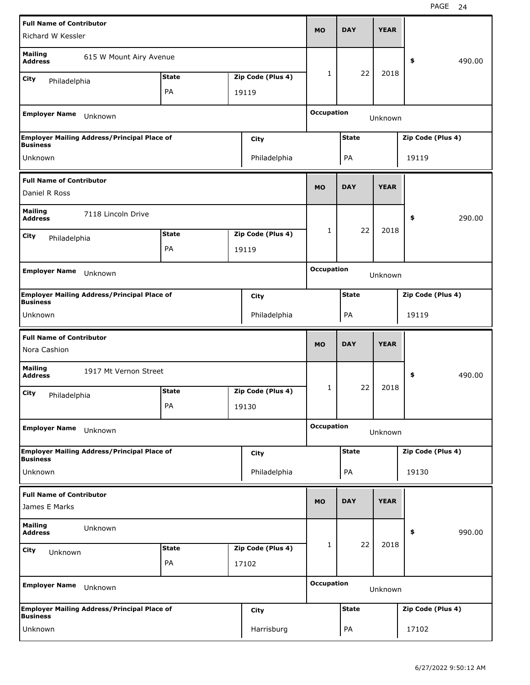| <b>Full Name of Contributor</b>                 |                                                    |              |                   |                   |              |             |                   |        |
|-------------------------------------------------|----------------------------------------------------|--------------|-------------------|-------------------|--------------|-------------|-------------------|--------|
| Richard W Kessler                               |                                                    |              |                   | <b>MO</b>         | <b>DAY</b>   | <b>YEAR</b> |                   |        |
| <b>Mailing</b><br><b>Address</b>                | 615 W Mount Airy Avenue                            |              |                   |                   |              |             | \$                | 490.00 |
| City<br>Philadelphia                            |                                                    | <b>State</b> | Zip Code (Plus 4) | 1                 | 22           | 2018        |                   |        |
|                                                 |                                                    | PA           | 19119             |                   |              |             |                   |        |
| <b>Employer Name</b>                            | Unknown                                            |              |                   | <b>Occupation</b> |              | Unknown     |                   |        |
| <b>Business</b>                                 | <b>Employer Mailing Address/Principal Place of</b> |              | City              |                   | <b>State</b> |             | Zip Code (Plus 4) |        |
| Unknown                                         |                                                    |              | Philadelphia      |                   | PA           |             | 19119             |        |
| <b>Full Name of Contributor</b>                 |                                                    |              |                   | <b>MO</b>         | <b>DAY</b>   | <b>YEAR</b> |                   |        |
| Daniel R Ross                                   |                                                    |              |                   |                   |              |             |                   |        |
| <b>Mailing</b><br><b>Address</b>                | 7118 Lincoln Drive                                 |              |                   |                   |              |             | \$                | 290.00 |
| City<br>Philadelphia                            |                                                    | <b>State</b> | Zip Code (Plus 4) | 1                 | 22           | 2018        |                   |        |
|                                                 |                                                    | PA           | 19119             |                   |              |             |                   |        |
| <b>Employer Name</b>                            |                                                    |              |                   | <b>Occupation</b> |              |             |                   |        |
|                                                 | Unknown                                            |              |                   |                   |              | Unknown     |                   |        |
| <b>Business</b>                                 | <b>Employer Mailing Address/Principal Place of</b> |              | City              |                   | <b>State</b> |             | Zip Code (Plus 4) |        |
| Unknown                                         |                                                    |              | Philadelphia      |                   | PA           |             | 19119             |        |
|                                                 |                                                    |              |                   |                   |              |             |                   |        |
| <b>Full Name of Contributor</b><br>Nora Cashion |                                                    |              |                   | <b>MO</b>         | <b>DAY</b>   | <b>YEAR</b> |                   |        |
| <b>Mailing</b><br><b>Address</b>                | 1917 Mt Vernon Street                              |              |                   |                   |              |             | \$                | 490.00 |
|                                                 |                                                    | <b>State</b> | Zip Code (Plus 4) | 1                 | 22           | 2018        |                   |        |
| City<br>Philadelphia                            |                                                    | PA           | 19130             |                   |              |             |                   |        |
| <b>Employer Name</b>                            | Unknown                                            |              |                   | <b>Occupation</b> |              | Unknown     |                   |        |
|                                                 | <b>Employer Mailing Address/Principal Place of</b> |              | <b>City</b>       |                   | <b>State</b> |             | Zip Code (Plus 4) |        |
| <b>Business</b><br>Unknown                      |                                                    |              | Philadelphia      |                   | PA           |             | 19130             |        |
| <b>Full Name of Contributor</b>                 |                                                    |              |                   |                   |              |             |                   |        |
| James E Marks                                   |                                                    |              |                   | <b>MO</b>         | <b>DAY</b>   | <b>YEAR</b> |                   |        |
| <b>Mailing</b><br><b>Address</b>                | Unknown                                            |              |                   |                   |              |             | \$                | 990.00 |
| <b>City</b><br>Unknown                          |                                                    | <b>State</b> | Zip Code (Plus 4) | 1                 | 22           | 2018        |                   |        |
|                                                 |                                                    | PA           | 17102             |                   |              |             |                   |        |
| <b>Employer Name</b>                            | Unknown                                            |              |                   | <b>Occupation</b> |              | Unknown     |                   |        |
| <b>Business</b>                                 | <b>Employer Mailing Address/Principal Place of</b> |              | <b>City</b>       |                   | <b>State</b> |             | Zip Code (Plus 4) |        |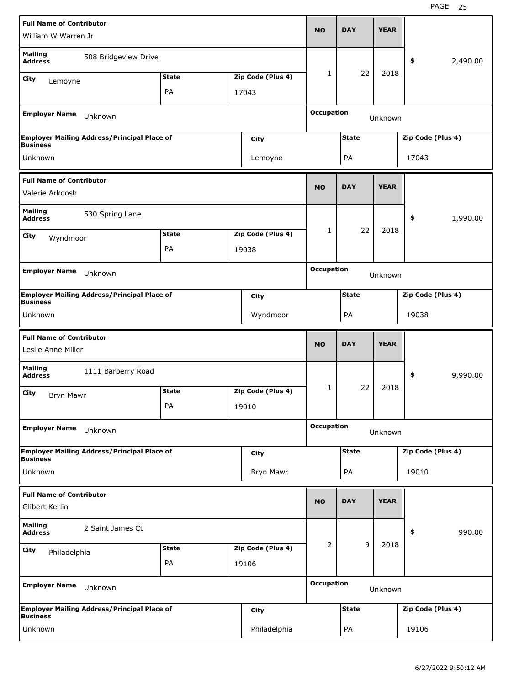| <b>Full Name of Contributor</b>                       |                                                    |              |                   | <b>MO</b>         | <b>DAY</b>   | <b>YEAR</b> |                   |          |
|-------------------------------------------------------|----------------------------------------------------|--------------|-------------------|-------------------|--------------|-------------|-------------------|----------|
| William W Warren Jr                                   |                                                    |              |                   |                   |              |             |                   |          |
| <b>Mailing</b><br><b>Address</b>                      | 508 Bridgeview Drive                               |              |                   |                   |              |             | \$                | 2,490.00 |
| City<br>Lemoyne                                       |                                                    | <b>State</b> | Zip Code (Plus 4) | $\mathbf{1}$      | 22           | 2018        |                   |          |
|                                                       |                                                    | PA           | 17043             |                   |              |             |                   |          |
| <b>Employer Name</b>                                  | Unknown                                            |              |                   | <b>Occupation</b> |              | Unknown     |                   |          |
| <b>Business</b>                                       | <b>Employer Mailing Address/Principal Place of</b> |              | City              |                   | <b>State</b> |             | Zip Code (Plus 4) |          |
| Unknown                                               |                                                    |              | Lemoyne           |                   | PA           |             | 17043             |          |
| <b>Full Name of Contributor</b>                       |                                                    |              |                   |                   |              |             |                   |          |
| Valerie Arkoosh                                       |                                                    |              |                   | <b>MO</b>         | <b>DAY</b>   | <b>YEAR</b> |                   |          |
| <b>Mailing</b><br><b>Address</b>                      | 530 Spring Lane                                    |              |                   |                   |              |             | \$                | 1,990.00 |
| City<br>Wyndmoor                                      |                                                    | <b>State</b> | Zip Code (Plus 4) | 1                 | 22           | 2018        |                   |          |
|                                                       |                                                    | PA           | 19038             |                   |              |             |                   |          |
|                                                       |                                                    |              |                   | <b>Occupation</b> |              |             |                   |          |
| <b>Employer Name</b>                                  | Unknown                                            |              |                   |                   |              | Unknown     |                   |          |
| <b>Business</b>                                       | <b>Employer Mailing Address/Principal Place of</b> |              | City              |                   | <b>State</b> |             | Zip Code (Plus 4) |          |
| Unknown                                               |                                                    |              | Wyndmoor          |                   | PA           |             | 19038             |          |
|                                                       |                                                    |              |                   |                   |              |             |                   |          |
|                                                       |                                                    |              |                   |                   |              |             |                   |          |
| <b>Full Name of Contributor</b><br>Leslie Anne Miller |                                                    |              |                   | <b>MO</b>         | <b>DAY</b>   | <b>YEAR</b> |                   |          |
| <b>Mailing</b><br><b>Address</b>                      | 1111 Barberry Road                                 |              |                   |                   |              |             | \$                | 9,990.00 |
| City                                                  |                                                    | <b>State</b> | Zip Code (Plus 4) | 1                 | 22           | 2018        |                   |          |
| <b>Bryn Mawr</b>                                      |                                                    | PA           | 19010             |                   |              |             |                   |          |
| <b>Employer Name</b>                                  | Unknown                                            |              |                   | <b>Occupation</b> |              | Unknown     |                   |          |
|                                                       | <b>Employer Mailing Address/Principal Place of</b> |              | City              |                   | <b>State</b> |             | Zip Code (Plus 4) |          |
| <b>Business</b><br>Unknown                            |                                                    |              | Bryn Mawr         |                   | PA           |             | 19010             |          |
|                                                       |                                                    |              |                   |                   |              |             |                   |          |
| <b>Full Name of Contributor</b><br>Glibert Kerlin     |                                                    |              |                   | <b>MO</b>         | <b>DAY</b>   | <b>YEAR</b> |                   |          |
| Mailing<br><b>Address</b>                             | 2 Saint James Ct                                   |              |                   |                   |              |             | \$                | 990.00   |
| City<br>Philadelphia                                  |                                                    | <b>State</b> | Zip Code (Plus 4) | 2                 | 9            | 2018        |                   |          |
|                                                       |                                                    | PA           | 19106             |                   |              |             |                   |          |
| <b>Employer Name</b>                                  | Unknown                                            |              |                   | <b>Occupation</b> |              | Unknown     |                   |          |
| <b>Business</b>                                       | <b>Employer Mailing Address/Principal Place of</b> |              | City              |                   | <b>State</b> |             | Zip Code (Plus 4) |          |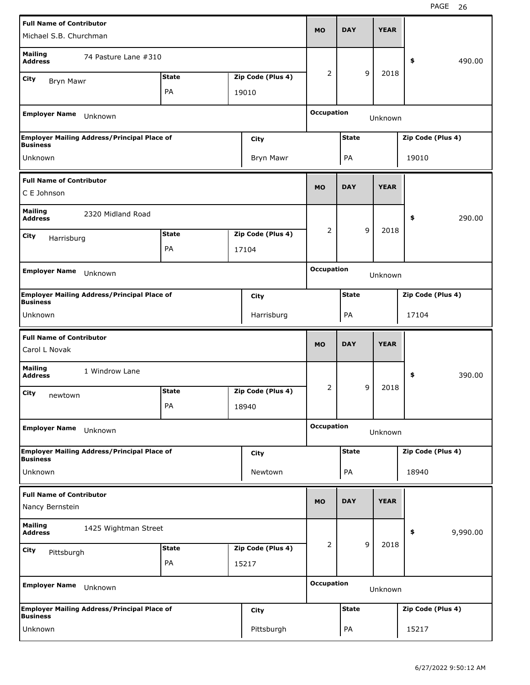| <b>Full Name of Contributor</b>                  |                                                    |              |                   | <b>MO</b>         | <b>DAY</b>   |   | <b>YEAR</b> |                   |          |
|--------------------------------------------------|----------------------------------------------------|--------------|-------------------|-------------------|--------------|---|-------------|-------------------|----------|
| Michael S.B. Churchman                           |                                                    |              |                   |                   |              |   |             |                   |          |
| <b>Mailing</b><br><b>Address</b>                 | 74 Pasture Lane #310                               |              |                   |                   |              |   |             | \$                | 490.00   |
| City<br><b>Bryn Mawr</b>                         |                                                    | <b>State</b> | Zip Code (Plus 4) | 2                 |              | 9 | 2018        |                   |          |
|                                                  |                                                    | PA           | 19010             |                   |              |   |             |                   |          |
| <b>Employer Name</b>                             | Unknown                                            |              |                   | <b>Occupation</b> |              |   | Unknown     |                   |          |
| <b>Business</b>                                  | <b>Employer Mailing Address/Principal Place of</b> |              | City              |                   | <b>State</b> |   |             | Zip Code (Plus 4) |          |
| Unknown                                          |                                                    |              | Bryn Mawr         |                   | PA           |   |             | 19010             |          |
| <b>Full Name of Contributor</b>                  |                                                    |              |                   |                   |              |   |             |                   |          |
| C E Johnson                                      |                                                    |              |                   | <b>MO</b>         | <b>DAY</b>   |   | <b>YEAR</b> |                   |          |
| <b>Mailing</b><br><b>Address</b>                 | 2320 Midland Road                                  |              |                   |                   |              |   |             | \$                | 290.00   |
| City                                             |                                                    | <b>State</b> | Zip Code (Plus 4) | 2                 |              | 9 | 2018        |                   |          |
| Harrisburg                                       |                                                    | PA           | 17104             |                   |              |   |             |                   |          |
|                                                  |                                                    |              |                   |                   |              |   |             |                   |          |
| <b>Employer Name</b>                             | Unknown                                            |              |                   | <b>Occupation</b> |              |   | Unknown     |                   |          |
| <b>Business</b>                                  | <b>Employer Mailing Address/Principal Place of</b> |              | City              |                   | <b>State</b> |   |             | Zip Code (Plus 4) |          |
| Unknown                                          |                                                    |              | Harrisburg        |                   | PA           |   |             | 17104             |          |
|                                                  |                                                    |              |                   |                   |              |   |             |                   |          |
| <b>Full Name of Contributor</b><br>Carol L Novak |                                                    |              |                   | <b>MO</b>         | <b>DAY</b>   |   | <b>YEAR</b> |                   |          |
| <b>Mailing</b><br><b>Address</b>                 | 1 Windrow Lane                                     |              |                   |                   |              |   |             | \$                | 390.00   |
|                                                  |                                                    | <b>State</b> | Zip Code (Plus 4) | 2                 |              | 9 | 2018        |                   |          |
| City<br>newtown                                  |                                                    | PA           | 18940             |                   |              |   |             |                   |          |
| <b>Employer Name</b>                             | Unknown                                            |              |                   | <b>Occupation</b> |              |   | Unknown     |                   |          |
|                                                  | <b>Employer Mailing Address/Principal Place of</b> |              | City              |                   | <b>State</b> |   |             | Zip Code (Plus 4) |          |
| <b>Business</b><br>Unknown                       |                                                    |              | Newtown           |                   | PA           |   |             | 18940             |          |
| <b>Full Name of Contributor</b>                  |                                                    |              |                   |                   |              |   |             |                   |          |
| Nancy Bernstein                                  |                                                    |              |                   | <b>MO</b>         | <b>DAY</b>   |   | <b>YEAR</b> |                   |          |
| <b>Mailing</b><br><b>Address</b>                 | 1425 Wightman Street                               |              |                   |                   |              |   |             | \$                | 9,990.00 |
| City                                             |                                                    | <b>State</b> | Zip Code (Plus 4) | 2                 |              | 9 | 2018        |                   |          |
| Pittsburgh                                       |                                                    | PA           | 15217             |                   |              |   |             |                   |          |
| <b>Employer Name</b>                             | Unknown                                            |              |                   | <b>Occupation</b> |              |   | Unknown     |                   |          |
| <b>Business</b>                                  | <b>Employer Mailing Address/Principal Place of</b> |              | City              |                   | <b>State</b> |   |             | Zip Code (Plus 4) |          |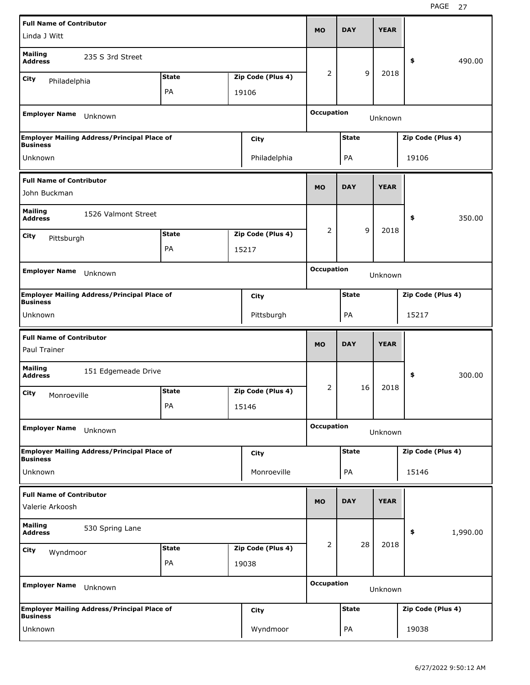| <b>Full Name of Contributor</b>                    |                                                    |              |                   | <b>MO</b>         | <b>DAY</b>   | <b>YEAR</b> |                   |          |
|----------------------------------------------------|----------------------------------------------------|--------------|-------------------|-------------------|--------------|-------------|-------------------|----------|
| Linda J Witt                                       |                                                    |              |                   |                   |              |             |                   |          |
| <b>Mailing</b><br><b>Address</b>                   | 235 S 3rd Street                                   |              |                   |                   |              |             | \$                | 490.00   |
| City<br>Philadelphia                               |                                                    | <b>State</b> | Zip Code (Plus 4) | 2                 | 9            | 2018        |                   |          |
|                                                    |                                                    | PA           | 19106             |                   |              |             |                   |          |
| <b>Employer Name</b>                               | Unknown                                            |              |                   | <b>Occupation</b> |              | Unknown     |                   |          |
| <b>Business</b>                                    | <b>Employer Mailing Address/Principal Place of</b> |              | City              |                   | <b>State</b> |             | Zip Code (Plus 4) |          |
| Unknown                                            |                                                    |              | Philadelphia      |                   | PA           |             | 19106             |          |
| <b>Full Name of Contributor</b><br>John Buckman    |                                                    |              |                   | <b>MO</b>         | <b>DAY</b>   | <b>YEAR</b> |                   |          |
|                                                    |                                                    |              |                   |                   |              |             |                   |          |
| <b>Mailing</b><br><b>Address</b>                   | 1526 Valmont Street                                |              |                   |                   |              |             | \$                | 350.00   |
| City<br>Pittsburgh                                 |                                                    | <b>State</b> | Zip Code (Plus 4) | 2                 | 9            | 2018        |                   |          |
|                                                    |                                                    | PA           | 15217             |                   |              |             |                   |          |
| <b>Employer Name</b>                               | Unknown                                            |              |                   | <b>Occupation</b> |              | Unknown     |                   |          |
| <b>Business</b>                                    | <b>Employer Mailing Address/Principal Place of</b> |              | City              |                   | <b>State</b> |             | Zip Code (Plus 4) |          |
| Unknown                                            |                                                    |              | Pittsburgh        |                   | PA           |             | 15217             |          |
|                                                    |                                                    |              |                   |                   |              |             |                   |          |
| <b>Full Name of Contributor</b><br>Paul Trainer    |                                                    |              |                   | <b>MO</b>         | <b>DAY</b>   | <b>YEAR</b> |                   |          |
| <b>Mailing</b><br><b>Address</b>                   | 151 Edgemeade Drive                                |              |                   |                   |              |             | \$                | 300.00   |
| City<br>Monroeville                                |                                                    | <b>State</b> | Zip Code (Plus 4) | 2                 | 16           | 2018        |                   |          |
|                                                    |                                                    | PA           | 15146             |                   |              |             |                   |          |
| <b>Employer Name</b>                               | Unknown                                            |              |                   | <b>Occupation</b> |              | Unknown     |                   |          |
| <b>Business</b>                                    | <b>Employer Mailing Address/Principal Place of</b> |              | City              |                   | <b>State</b> |             | Zip Code (Plus 4) |          |
| Unknown                                            |                                                    |              | Monroeville       |                   | PA           |             | 15146             |          |
| <b>Full Name of Contributor</b><br>Valerie Arkoosh |                                                    |              |                   | <b>MO</b>         | <b>DAY</b>   | <b>YEAR</b> |                   |          |
| <b>Mailing</b><br><b>Address</b>                   | 530 Spring Lane                                    |              |                   |                   |              |             | \$                | 1,990.00 |
| City<br>Wyndmoor                                   |                                                    | <b>State</b> | Zip Code (Plus 4) | 2                 | 28           | 2018        |                   |          |
|                                                    |                                                    | PA           | 19038             |                   |              |             |                   |          |
| <b>Employer Name</b>                               | Unknown                                            |              |                   | <b>Occupation</b> |              | Unknown     |                   |          |
| <b>Business</b>                                    | <b>Employer Mailing Address/Principal Place of</b> |              | City              |                   | <b>State</b> |             | Zip Code (Plus 4) |          |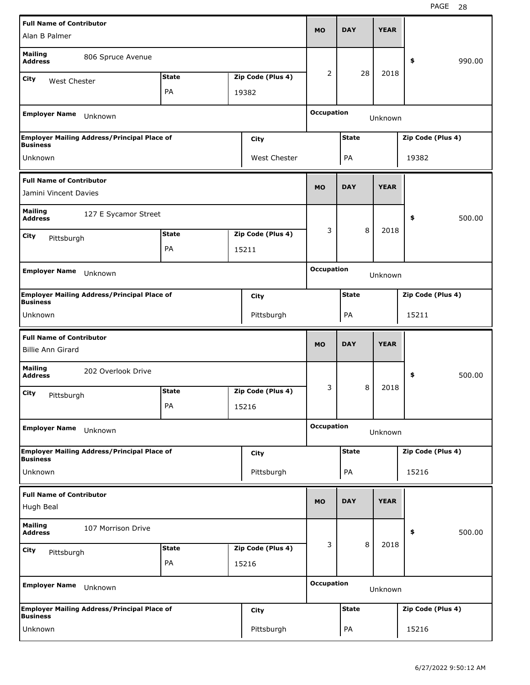| <b>Full Name of Contributor</b>                             |                                                    |              |                   | <b>MO</b>         | <b>DAY</b>   | <b>YEAR</b> |                   |        |
|-------------------------------------------------------------|----------------------------------------------------|--------------|-------------------|-------------------|--------------|-------------|-------------------|--------|
| Alan B Palmer                                               |                                                    |              |                   |                   |              |             |                   |        |
| <b>Mailing</b><br><b>Address</b>                            | 806 Spruce Avenue                                  |              |                   |                   |              |             | \$                | 990.00 |
| City<br>West Chester                                        |                                                    | <b>State</b> | Zip Code (Plus 4) | 2                 | 28           | 2018        |                   |        |
|                                                             |                                                    | PA           | 19382             |                   |              |             |                   |        |
| <b>Employer Name</b>                                        | Unknown                                            |              |                   | <b>Occupation</b> |              | Unknown     |                   |        |
| <b>Business</b>                                             | <b>Employer Mailing Address/Principal Place of</b> |              | City              |                   | <b>State</b> |             | Zip Code (Plus 4) |        |
| Unknown                                                     |                                                    |              | West Chester      |                   | PA           |             | 19382             |        |
| <b>Full Name of Contributor</b><br>Jamini Vincent Davies    |                                                    |              |                   | <b>MO</b>         | <b>DAY</b>   | <b>YEAR</b> |                   |        |
| <b>Mailing</b><br><b>Address</b>                            | 127 E Sycamor Street                               |              |                   |                   |              |             | \$                | 500.00 |
| City                                                        |                                                    | <b>State</b> | Zip Code (Plus 4) | 3                 | 8            | 2018        |                   |        |
| Pittsburgh                                                  |                                                    | PA           | 15211             |                   |              |             |                   |        |
|                                                             |                                                    |              |                   |                   |              |             |                   |        |
| <b>Employer Name</b>                                        | Unknown                                            |              |                   | <b>Occupation</b> |              | Unknown     |                   |        |
| <b>Business</b>                                             | <b>Employer Mailing Address/Principal Place of</b> |              | City              |                   | <b>State</b> |             | Zip Code (Plus 4) |        |
| Unknown                                                     |                                                    |              | Pittsburgh        |                   | PA           |             | 15211             |        |
|                                                             |                                                    |              |                   |                   |              |             |                   |        |
| <b>Full Name of Contributor</b><br><b>Billie Ann Girard</b> |                                                    |              |                   | <b>MO</b>         | <b>DAY</b>   | <b>YEAR</b> |                   |        |
| <b>Mailing</b><br><b>Address</b>                            | 202 Overlook Drive                                 |              |                   |                   |              |             | \$                | 500.00 |
| City                                                        |                                                    | <b>State</b> | Zip Code (Plus 4) | 3                 | 8            | 2018        |                   |        |
| Pittsburgh                                                  |                                                    | РA           | 15216             |                   |              |             |                   |        |
| <b>Employer Name</b>                                        | Unknown                                            |              |                   | <b>Occupation</b> |              | Unknown     |                   |        |
|                                                             | <b>Employer Mailing Address/Principal Place of</b> |              | City              |                   | <b>State</b> |             | Zip Code (Plus 4) |        |
| <b>Business</b><br>Unknown                                  |                                                    |              | Pittsburgh        |                   | PA           |             | 15216             |        |
| <b>Full Name of Contributor</b><br>Hugh Beal                |                                                    |              |                   | <b>MO</b>         | <b>DAY</b>   | <b>YEAR</b> |                   |        |
| <b>Mailing</b><br><b>Address</b>                            | 107 Morrison Drive                                 |              |                   |                   |              |             | \$                | 500.00 |
|                                                             |                                                    | <b>State</b> | Zip Code (Plus 4) | 3                 | 8            | 2018        |                   |        |
| City<br>Pittsburgh                                          |                                                    | PA           | 15216             |                   |              |             |                   |        |
| <b>Employer Name</b>                                        | Unknown                                            |              |                   | <b>Occupation</b> |              | Unknown     |                   |        |
| <b>Business</b>                                             | <b>Employer Mailing Address/Principal Place of</b> |              | City              |                   | <b>State</b> |             | Zip Code (Plus 4) |        |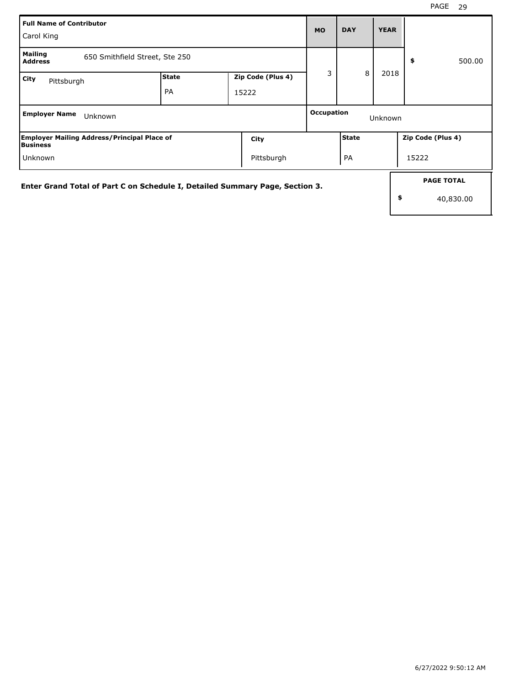| Full Name of Contributor<br>Carol King                                |                                |                                                                              | <b>MO</b>         | <b>DAY</b>   | <b>YEAR</b> |                                |
|-----------------------------------------------------------------------|--------------------------------|------------------------------------------------------------------------------|-------------------|--------------|-------------|--------------------------------|
| <b>Mailing</b><br><b>Address</b>                                      | 650 Smithfield Street, Ste 250 |                                                                              |                   |              |             | 500.00<br>\$                   |
| <b>City</b><br>Pittsburgh                                             | <b>State</b><br>PA             | Zip Code (Plus 4)<br>15222                                                   | 3                 | 8            | 2018        |                                |
| <b>Employer Name</b>                                                  | Unknown                        |                                                                              | <b>Occupation</b> |              | Unknown     |                                |
| <b>Employer Mailing Address/Principal Place of</b><br><b>Business</b> |                                | City                                                                         |                   | <b>State</b> |             | Zip Code (Plus 4)              |
| Unknown                                                               |                                | Pittsburgh                                                                   |                   | PA           |             | 15222                          |
|                                                                       |                                | Enter Grand Total of Part C on Schedule I, Detailed Summary Page, Section 3. |                   |              | \$          | <b>PAGE TOTAL</b><br>40,830.00 |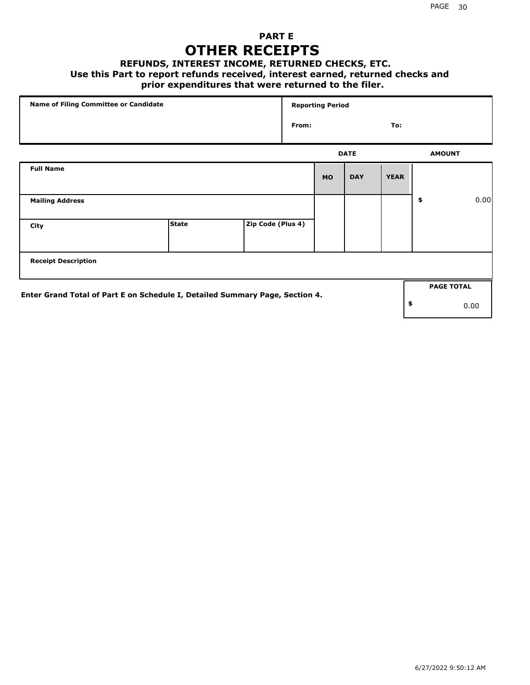## **PART E OTHER RECEIPTS**

#### **REFUNDS, INTEREST INCOME, RETURNED CHECKS, ETC.**

#### **Use this Part to report refunds received, interest earned, returned checks and**

## **prior expenditures that were returned to the filer.**

| Name of Filing Committee or Candidate                                        |              |                   |       | <b>Reporting Period</b> |             |             |                   |      |
|------------------------------------------------------------------------------|--------------|-------------------|-------|-------------------------|-------------|-------------|-------------------|------|
|                                                                              |              |                   | From: |                         |             | To:         |                   |      |
|                                                                              |              |                   |       |                         | <b>DATE</b> |             | <b>AMOUNT</b>     |      |
| <b>Full Name</b>                                                             |              |                   |       | <b>MO</b>               | <b>DAY</b>  | <b>YEAR</b> |                   |      |
| <b>Mailing Address</b>                                                       |              |                   |       |                         |             |             | \$                | 0.00 |
| City                                                                         | <b>State</b> | Zip Code (Plus 4) |       |                         |             |             |                   |      |
| <b>Receipt Description</b>                                                   |              |                   |       |                         |             |             |                   |      |
| Enter Grand Total of Part E on Schedule I, Detailed Summary Page, Section 4. |              |                   |       |                         |             |             | <b>PAGE TOTAL</b> |      |
|                                                                              |              |                   |       |                         |             |             | \$                | 0.00 |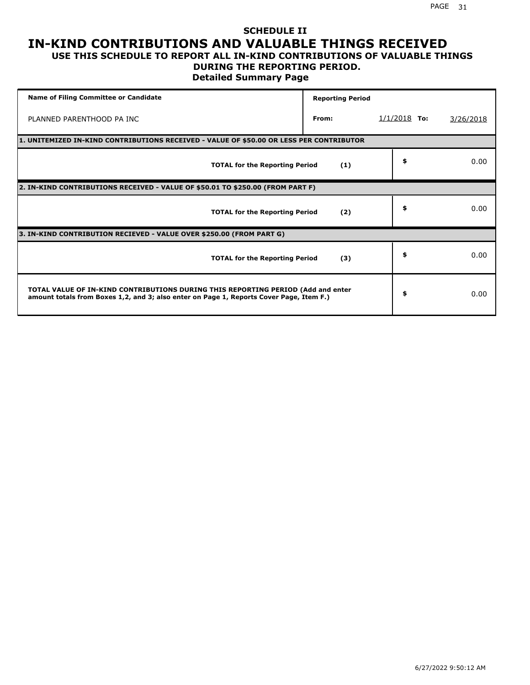#### **SCHEDULE II IN-KIND CONTRIBUTIONS AND VALUABLE THINGS RECEIVED USE THIS SCHEDULE TO REPORT ALL IN-KIND CONTRIBUTIONS OF VALUABLE THINGS**

## **DURING THE REPORTING PERIOD.**

**Detailed Summary Page**

| <b>Name of Filing Committee or Candidate</b>                                                                                                                                | <b>Reporting Period</b> |                |           |
|-----------------------------------------------------------------------------------------------------------------------------------------------------------------------------|-------------------------|----------------|-----------|
| PLANNED PARENTHOOD PA INC                                                                                                                                                   | From:                   | $1/1/2018$ To: | 3/26/2018 |
| 1. UNITEMIZED IN-KIND CONTRIBUTIONS RECEIVED - VALUE OF \$50.00 OR LESS PER CONTRIBUTOR                                                                                     |                         |                |           |
| <b>TOTAL for the Reporting Period</b>                                                                                                                                       | (1)                     | \$             | 0.00      |
| 2. IN-KIND CONTRIBUTIONS RECEIVED - VALUE OF \$50.01 TO \$250.00 (FROM PART F)                                                                                              |                         |                |           |
| <b>TOTAL for the Reporting Period</b>                                                                                                                                       | (2)                     | \$             | 0.00      |
| 3. IN-KIND CONTRIBUTION RECIEVED - VALUE OVER \$250.00 (FROM PART G)                                                                                                        |                         |                |           |
| <b>TOTAL for the Reporting Period</b>                                                                                                                                       | (3)                     | \$             | 0.00      |
| TOTAL VALUE OF IN-KIND CONTRIBUTIONS DURING THIS REPORTING PERIOD (Add and enter<br>amount totals from Boxes 1,2, and 3; also enter on Page 1, Reports Cover Page, Item F.) |                         | \$             | 0.00      |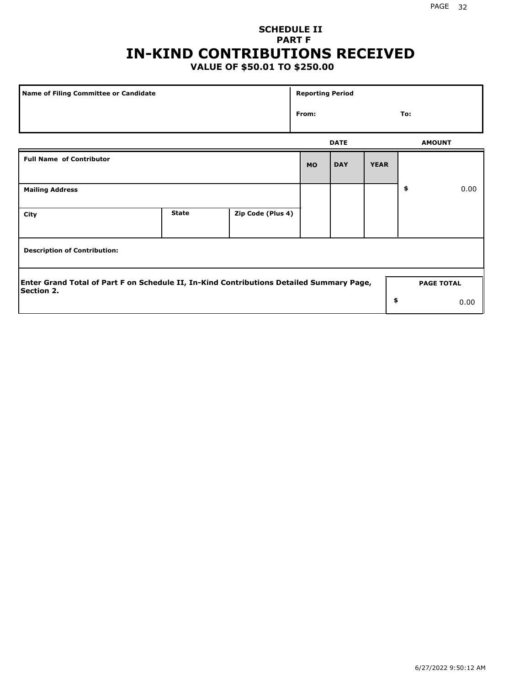## **SCHEDULE II PART F IN-KIND CONTRIBUTIONS RECEIVED**

## **VALUE OF \$50.01 TO \$250.00**

| Name of Filing Committee or Candidate                                                                         |              |                   | <b>Reporting Period</b> |             |             |               |                   |
|---------------------------------------------------------------------------------------------------------------|--------------|-------------------|-------------------------|-------------|-------------|---------------|-------------------|
|                                                                                                               |              |                   | From:                   |             |             | To:           |                   |
|                                                                                                               |              |                   |                         | <b>DATE</b> |             | <b>AMOUNT</b> |                   |
| <b>Full Name of Contributor</b>                                                                               |              |                   | <b>MO</b>               | <b>DAY</b>  | <b>YEAR</b> |               |                   |
| <b>Mailing Address</b>                                                                                        |              |                   |                         |             |             | \$            | 0.00              |
| City                                                                                                          | <b>State</b> | Zip Code (Plus 4) |                         |             |             |               |                   |
| <b>Description of Contribution:</b>                                                                           |              |                   |                         |             |             |               |                   |
| Enter Grand Total of Part F on Schedule II, In-Kind Contributions Detailed Summary Page,<br><b>Section 2.</b> |              |                   |                         |             |             |               | <b>PAGE TOTAL</b> |
|                                                                                                               |              |                   |                         |             | \$          |               | 0.00              |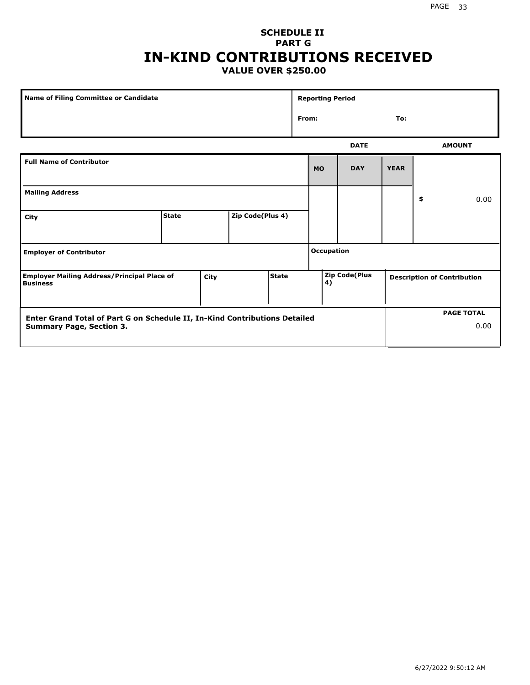### **SCHEDULE II PART G IN-KIND CONTRIBUTIONS RECEIVED VALUE OVER \$250.00**

| Name of Filing Committee or Candidate                                 |              |      |                  |              |       | <b>Reporting Period</b> |                      |             |                                    |               |
|-----------------------------------------------------------------------|--------------|------|------------------|--------------|-------|-------------------------|----------------------|-------------|------------------------------------|---------------|
|                                                                       |              |      |                  |              | From: |                         |                      | To:         |                                    |               |
|                                                                       |              |      |                  |              |       |                         | <b>DATE</b>          |             |                                    | <b>AMOUNT</b> |
| <b>Full Name of Contributor</b>                                       |              |      |                  |              |       | <b>MO</b>               | <b>DAY</b>           | <b>YEAR</b> |                                    |               |
| <b>Mailing Address</b>                                                |              |      |                  |              |       |                         |                      |             | \$                                 | 0.00          |
| City                                                                  | <b>State</b> |      | Zip Code(Plus 4) |              |       |                         |                      |             |                                    |               |
| <b>Employer of Contributor</b>                                        |              |      |                  |              |       | <b>Occupation</b>       |                      |             |                                    |               |
| <b>Employer Mailing Address/Principal Place of</b><br><b>Business</b> |              | City |                  | <b>State</b> |       | 4)                      | <b>Zip Code(Plus</b> |             | <b>Description of Contribution</b> |               |

| <b>Enter Grand Total of Part G on Schedule II, In-Kind Contributions Detailed</b> |  | <b>PAGE TOTAL</b> |
|-----------------------------------------------------------------------------------|--|-------------------|
| Summary Page, Section 3.                                                          |  | 0.00              |
|                                                                                   |  |                   |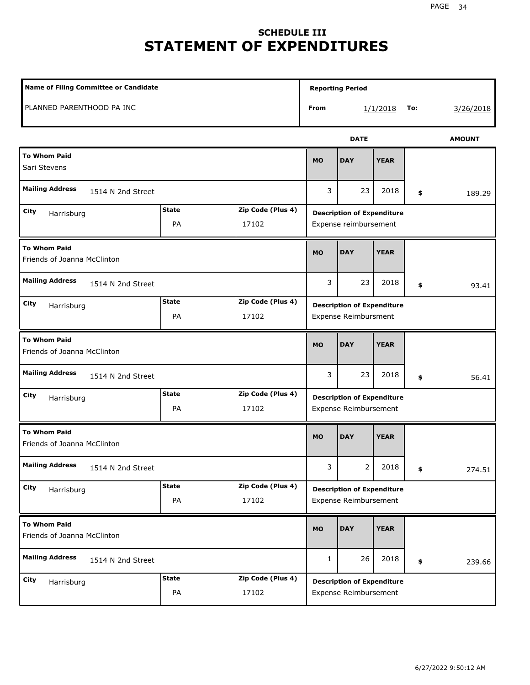# **SCHEDULE III STATEMENT OF EXPENDITURES**

| Name of Filing Committee or Candidate              |                    |                            |              | <b>Reporting Period</b>                                          |             |     |               |
|----------------------------------------------------|--------------------|----------------------------|--------------|------------------------------------------------------------------|-------------|-----|---------------|
| PLANNED PARENTHOOD PA INC                          |                    |                            | From         |                                                                  | 1/1/2018    | To: | 3/26/2018     |
|                                                    |                    |                            |              | <b>DATE</b>                                                      |             |     | <b>AMOUNT</b> |
| <b>To Whom Paid</b><br>Sari Stevens                |                    |                            | <b>MO</b>    | <b>DAY</b>                                                       | <b>YEAR</b> |     |               |
| <b>Mailing Address</b><br>1514 N 2nd Street        |                    |                            | 3            | 23                                                               | 2018        | \$  | 189.29        |
| City<br>Harrisburg                                 | <b>State</b><br>PA | Zip Code (Plus 4)<br>17102 |              | <b>Description of Expenditure</b><br>Expense reimbursement       |             |     |               |
| <b>To Whom Paid</b><br>Friends of Joanna McClinton |                    |                            | <b>MO</b>    | <b>DAY</b>                                                       | <b>YEAR</b> |     |               |
| <b>Mailing Address</b><br>1514 N 2nd Street        |                    |                            | 3            | 23                                                               | 2018        | \$  | 93.41         |
| City<br>Harrisburg                                 | <b>State</b><br>PA | Zip Code (Plus 4)<br>17102 |              | <b>Description of Expenditure</b><br><b>Expense Reimbursment</b> |             |     |               |
| <b>To Whom Paid</b><br>Friends of Joanna McClinton |                    |                            | <b>MO</b>    | <b>DAY</b>                                                       | <b>YEAR</b> |     |               |
| <b>Mailing Address</b><br>1514 N 2nd Street        |                    |                            | 3            | 23                                                               | 2018        | \$  | 56.41         |
| City<br>Harrisburg                                 | <b>State</b><br>PA | Zip Code (Plus 4)<br>17102 |              | <b>Description of Expenditure</b><br>Expense Reimbursement       |             |     |               |
| <b>To Whom Paid</b><br>Friends of Joanna McClinton |                    |                            | <b>MO</b>    | <b>DAY</b>                                                       | <b>YEAR</b> |     |               |
| <b>Mailing Address</b><br>1514 N 2nd Street        |                    |                            | 3            | $\mathbf{2}$                                                     | 2018        | \$  | 274.51        |
| City<br>Harrisburg                                 | <b>State</b><br>PA | Zip Code (Plus 4)<br>17102 |              | <b>Description of Expenditure</b><br>Expense Reimbursement       |             |     |               |
| <b>To Whom Paid</b><br>Friends of Joanna McClinton |                    |                            | <b>MO</b>    | <b>DAY</b>                                                       | <b>YEAR</b> |     |               |
| <b>Mailing Address</b><br>1514 N 2nd Street        |                    |                            | $\mathbf{1}$ | 26                                                               | 2018        | \$  | 239.66        |
| City<br>Harrisburg                                 | <b>State</b><br>PA | Zip Code (Plus 4)<br>17102 |              | <b>Description of Expenditure</b><br>Expense Reimbursement       |             |     |               |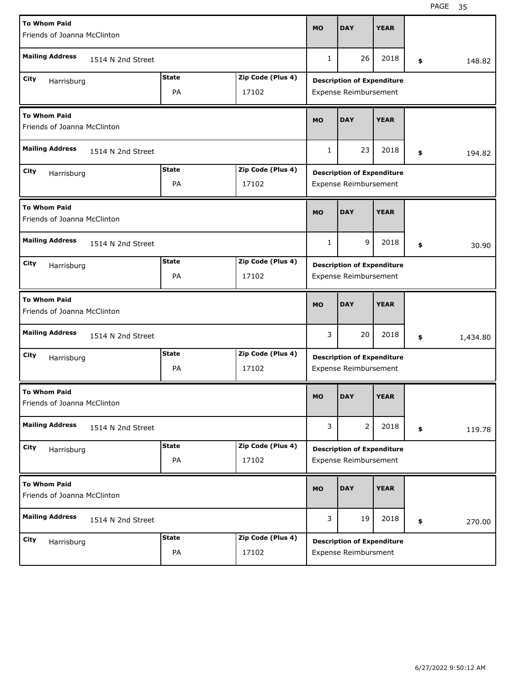| <b>To Whom Paid</b>                                |              |                   |              | <b>DAY</b>                        | <b>YEAR</b> |                |
|----------------------------------------------------|--------------|-------------------|--------------|-----------------------------------|-------------|----------------|
| Friends of Joanna McClinton                        |              |                   | <b>MO</b>    |                                   |             |                |
| <b>Mailing Address</b><br>1514 N 2nd Street        |              |                   | $\mathbf{1}$ | 26                                | 2018        | \$<br>148.82   |
| City<br>Harrisburg                                 | <b>State</b> | Zip Code (Plus 4) |              | <b>Description of Expenditure</b> |             |                |
|                                                    | PA           | 17102             |              | Expense Reimbursement             |             |                |
| <b>To Whom Paid</b><br>Friends of Joanna McClinton |              |                   | <b>MO</b>    | <b>DAY</b>                        | <b>YEAR</b> |                |
| <b>Mailing Address</b><br>1514 N 2nd Street        |              |                   | $\mathbf{1}$ | 23                                | 2018        | \$<br>194.82   |
| City<br>Harrisburg                                 | <b>State</b> | Zip Code (Plus 4) |              | <b>Description of Expenditure</b> |             |                |
|                                                    | PA           | 17102             |              | Expense Reimbursement             |             |                |
| <b>To Whom Paid</b><br>Friends of Joanna McClinton |              |                   | <b>MO</b>    | <b>DAY</b>                        | <b>YEAR</b> |                |
| <b>Mailing Address</b><br>1514 N 2nd Street        |              |                   | $\mathbf{1}$ | 9                                 | 2018        | \$<br>30.90    |
| City<br>Harrisburg                                 | <b>State</b> | Zip Code (Plus 4) |              | <b>Description of Expenditure</b> |             |                |
|                                                    | <b>PA</b>    | 17102             |              | Expense Reimbursement             |             |                |
|                                                    |              |                   |              |                                   |             |                |
| <b>To Whom Paid</b><br>Friends of Joanna McClinton |              |                   | <b>MO</b>    | <b>DAY</b>                        | <b>YEAR</b> |                |
| <b>Mailing Address</b><br>1514 N 2nd Street        |              |                   | 3            | 20                                | 2018        | \$<br>1,434.80 |
| City                                               | <b>State</b> | Zip Code (Plus 4) |              | <b>Description of Expenditure</b> |             |                |
| Harrisburg                                         | PA           | 17102             |              | Expense Reimbursement             |             |                |
| <b>To Whom Paid</b><br>Friends of Joanna McClinton |              |                   | <b>MO</b>    | <b>DAY</b>                        | <b>YEAR</b> |                |
| <b>Mailing Address</b><br>1514 N 2nd Street        |              |                   | 3            | $\overline{2}$                    | 2018        | \$<br>119.78   |
| City                                               | <b>State</b> | Zip Code (Plus 4) |              | <b>Description of Expenditure</b> |             |                |
| Harrisburg                                         | PA           | 17102             |              | Expense Reimbursement             |             |                |
| <b>To Whom Paid</b><br>Friends of Joanna McClinton |              |                   | <b>MO</b>    | <b>DAY</b>                        | <b>YEAR</b> |                |
| <b>Mailing Address</b><br>1514 N 2nd Street        |              |                   | 3            | 19                                | 2018        | \$<br>270.00   |
| City<br>Harrisburg                                 | <b>State</b> | Zip Code (Plus 4) |              | <b>Description of Expenditure</b> |             |                |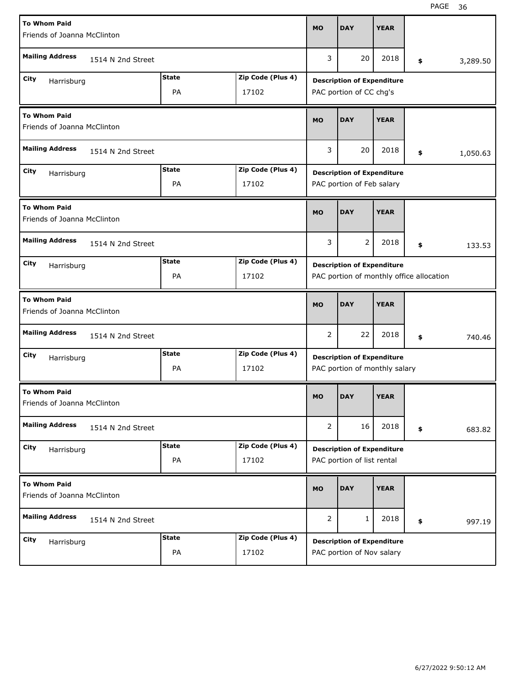| <b>To Whom Paid</b><br>Friends of Joanna McClinton |                                                                               |                   |                | <b>DAY</b>                                                         | <b>YEAR</b> |    |          |  |  |
|----------------------------------------------------|-------------------------------------------------------------------------------|-------------------|----------------|--------------------------------------------------------------------|-------------|----|----------|--|--|
| <b>Mailing Address</b><br>1514 N 2nd Street        |                                                                               |                   |                | 20                                                                 | 2018        | \$ | 3,289.50 |  |  |
| City                                               | <b>Description of Expenditure</b>                                             |                   |                |                                                                    |             |    |          |  |  |
| Zip Code (Plus 4)<br>Harrisburg<br>PA<br>17102     |                                                                               |                   |                | PAC portion of CC chg's                                            |             |    |          |  |  |
| <b>To Whom Paid</b><br>Friends of Joanna McClinton |                                                                               |                   |                | <b>DAY</b>                                                         | <b>YEAR</b> |    |          |  |  |
| <b>Mailing Address</b><br>1514 N 2nd Street        |                                                                               |                   | 3              | 20                                                                 | 2018        | \$ | 1,050.63 |  |  |
| City<br>Harrisburg                                 | <b>State</b>                                                                  | Zip Code (Plus 4) |                | <b>Description of Expenditure</b>                                  |             |    |          |  |  |
|                                                    | PA                                                                            | 17102             |                | PAC portion of Feb salary                                          |             |    |          |  |  |
| <b>To Whom Paid</b><br>Friends of Joanna McClinton |                                                                               |                   |                | <b>DAY</b>                                                         | <b>YEAR</b> |    |          |  |  |
| <b>Mailing Address</b><br>1514 N 2nd Street        |                                                                               |                   |                | 2                                                                  | 2018        | \$ | 133.53   |  |  |
| City<br>Harrisburg                                 | <b>State</b>                                                                  | Zip Code (Plus 4) |                |                                                                    |             |    |          |  |  |
|                                                    | <b>Description of Expenditure</b><br>PAC portion of monthly office allocation |                   |                |                                                                    |             |    |          |  |  |
| <b>To Whom Paid</b><br>Friends of Joanna McClinton |                                                                               |                   |                |                                                                    |             |    |          |  |  |
|                                                    |                                                                               |                   | <b>MO</b>      | <b>DAY</b>                                                         | <b>YEAR</b> |    |          |  |  |
| <b>Mailing Address</b><br>1514 N 2nd Street        |                                                                               |                   | $\overline{2}$ | 22                                                                 | 2018        | \$ | 740.46   |  |  |
| City                                               | <b>State</b>                                                                  | Zip Code (Plus 4) |                |                                                                    |             |    |          |  |  |
| Harrisburg                                         | PA                                                                            | 17102             |                | <b>Description of Expenditure</b><br>PAC portion of monthly salary |             |    |          |  |  |
| <b>To Whom Paid</b><br>Friends of Joanna McClinton |                                                                               |                   | <b>MO</b>      | <b>DAY</b>                                                         | <b>YEAR</b> |    |          |  |  |
| <b>Mailing Address</b><br>1514 N 2nd Street        |                                                                               |                   | $\overline{2}$ | 16                                                                 | 2018        | \$ | 683.82   |  |  |
| City                                               | <b>State</b>                                                                  | Zip Code (Plus 4) |                |                                                                    |             |    |          |  |  |
| Harrisburg                                         | PA                                                                            | 17102             |                | <b>Description of Expenditure</b><br>PAC portion of list rental    |             |    |          |  |  |
| <b>To Whom Paid</b><br>Friends of Joanna McClinton |                                                                               |                   | <b>MO</b>      | <b>DAY</b>                                                         | <b>YEAR</b> |    |          |  |  |
| <b>Mailing Address</b><br>1514 N 2nd Street        |                                                                               |                   | 2              | 1                                                                  | 2018        | \$ | 997.19   |  |  |
| <b>City</b><br>Harrisburg                          | <b>State</b>                                                                  | Zip Code (Plus 4) |                | <b>Description of Expenditure</b>                                  |             |    |          |  |  |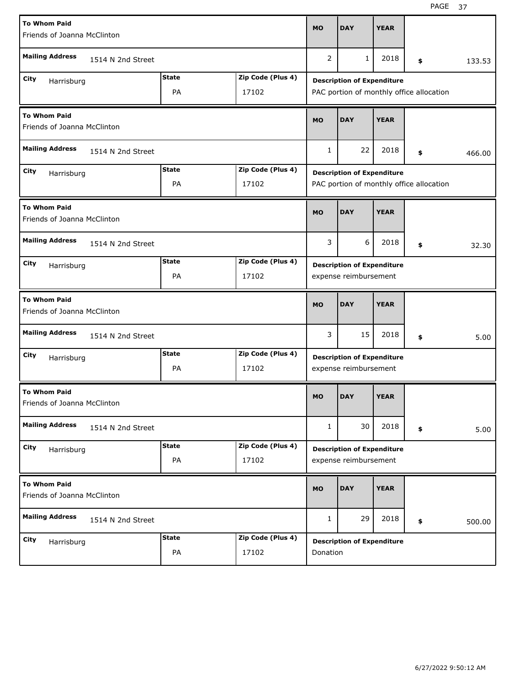| <b>To Whom Paid</b>                                |                       |              |                   |              |                                          |             |    |  |        |  |
|----------------------------------------------------|-----------------------|--------------|-------------------|--------------|------------------------------------------|-------------|----|--|--------|--|
| Friends of Joanna McClinton                        |                       |              |                   | <b>MO</b>    | <b>DAY</b>                               | <b>YEAR</b> |    |  |        |  |
| <b>Mailing Address</b><br>1514 N 2nd Street        |                       |              |                   | 2            | 1                                        | 2018        | \$ |  | 133.53 |  |
| City<br>Harrisburg                                 |                       | <b>State</b> | Zip Code (Plus 4) |              | <b>Description of Expenditure</b>        |             |    |  |        |  |
| PA<br>17102                                        |                       |              |                   |              | PAC portion of monthly office allocation |             |    |  |        |  |
| <b>To Whom Paid</b><br>Friends of Joanna McClinton |                       |              |                   | <b>MO</b>    | <b>DAY</b>                               | <b>YEAR</b> |    |  |        |  |
| <b>Mailing Address</b>                             | 1514 N 2nd Street     |              |                   | $\mathbf{1}$ | 22                                       | 2018        | \$ |  | 466.00 |  |
| City<br>Harrisburg                                 |                       | <b>State</b> | Zip Code (Plus 4) |              | <b>Description of Expenditure</b>        |             |    |  |        |  |
|                                                    |                       | PA           | 17102             |              | PAC portion of monthly office allocation |             |    |  |        |  |
| <b>To Whom Paid</b><br>Friends of Joanna McClinton |                       |              |                   | <b>MO</b>    | <b>DAY</b>                               | <b>YEAR</b> |    |  |        |  |
| <b>Mailing Address</b><br>1514 N 2nd Street        |                       |              |                   | 3            | 6                                        | 2018        | \$ |  | 32.30  |  |
| City<br>Harrisburg                                 |                       | <b>State</b> | Zip Code (Plus 4) |              | <b>Description of Expenditure</b>        |             |    |  |        |  |
|                                                    | expense reimbursement |              |                   |              |                                          |             |    |  |        |  |
|                                                    |                       |              |                   |              |                                          |             |    |  |        |  |
| <b>To Whom Paid</b><br>Friends of Joanna McClinton |                       |              |                   | <b>MO</b>    | <b>DAY</b>                               | <b>YEAR</b> |    |  |        |  |
| <b>Mailing Address</b>                             | 1514 N 2nd Street     |              |                   | 3            | 15                                       | 2018        | \$ |  | 5.00   |  |
| City<br>Harrisburg                                 |                       | <b>State</b> | Zip Code (Plus 4) |              | <b>Description of Expenditure</b>        |             |    |  |        |  |
|                                                    |                       | PA           | 17102             |              | expense reimbursement                    |             |    |  |        |  |
| <b>To Whom Paid</b><br>Friends of Joanna McClinton |                       |              |                   | <b>MO</b>    | <b>DAY</b>                               | <b>YEAR</b> |    |  |        |  |
| <b>Mailing Address</b>                             | 1514 N 2nd Street     |              |                   | $\mathbf{1}$ | 30                                       | 2018        | \$ |  | 5.00   |  |
| City                                               |                       | <b>State</b> | Zip Code (Plus 4) |              | <b>Description of Expenditure</b>        |             |    |  |        |  |
| Harrisburg                                         |                       | PA           | 17102             |              | expense reimbursement                    |             |    |  |        |  |
| <b>To Whom Paid</b><br>Friends of Joanna McClinton |                       |              |                   | <b>MO</b>    | <b>DAY</b>                               | <b>YEAR</b> |    |  |        |  |
| <b>Mailing Address</b>                             | 1514 N 2nd Street     |              |                   | $\mathbf{1}$ | 29                                       | 2018        | \$ |  | 500.00 |  |
| City<br>Harrisburg                                 |                       | <b>State</b> | Zip Code (Plus 4) |              | <b>Description of Expenditure</b>        |             |    |  |        |  |